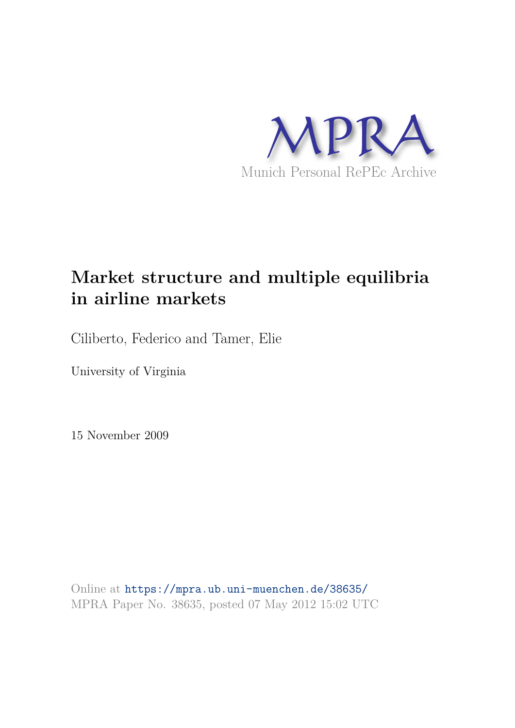

# **Market structure and multiple equilibria in airline markets**

Ciliberto, Federico and Tamer, Elie

University of Virginia

15 November 2009

Online at https://mpra.ub.uni-muenchen.de/38635/ MPRA Paper No. 38635, posted 07 May 2012 15:02 UTC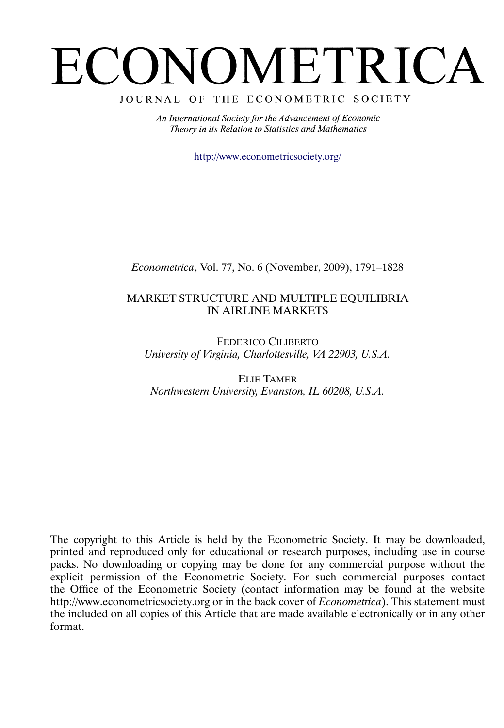# ECONOMETRICA

# JOURNAL OF THE ECONOMETRIC SOCIETY

An International Society for the Advancement of Economic Theory in its Relation to Statistics and Mathematics

http://www.econometricsociety.org/

*Econometrica*, Vol. 77, No. 6 (November, 2009), 1791–1828

# MARKET STRUCTURE AND MULTIPLE EQUILIBRIA IN AIRLINE MARKETS

FEDERICO CILIBERTO *University of Virginia, Charlottesville, VA 22903, U.S.A.*

ELIE TAMER *Northwestern University, Evanston, IL 60208, U.S.A.*

The copyright to this Article is held by the Econometric Society. It may be downloaded, printed and reproduced only for educational or research purposes, including use in course packs. No downloading or copying may be done for any commercial purpose without the explicit permission of the Econometric Society. For such commercial purposes contact the Office of the Econometric Society (contact information may be found at the website http://www.econometricsociety.org or in the back cover of *Econometrica*). This statement must the included on all copies of this Article that are made available electronically or in any other format.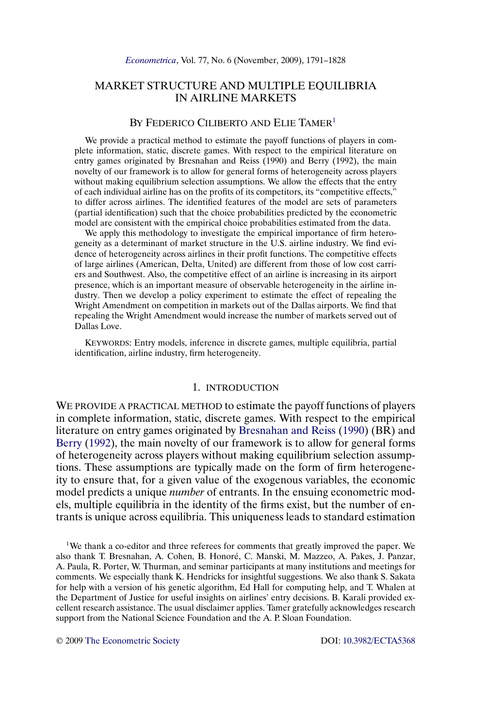# MARKET STRUCTURE AND MULTIPLE EQUILIBRIA IN AIRLINE MARKETS

# BY FEDERICO CILIBERTO AND ELIE TAMER<sup>1</sup>

We provide a practical method to estimate the payoff functions of players in complete information, static, discrete games. With respect to the empirical literature on entry games originated by Bresnahan and Reiss (1990) and Berry (1992), the main novelty of our framework is to allow for general forms of heterogeneity across players without making equilibrium selection assumptions. We allow the effects that the entry of each individual airline has on the profits of its competitors, its "competitive effects," to differ across airlines. The identified features of the model are sets of parameters (partial identification) such that the choice probabilities predicted by the econometric model are consistent with the empirical choice probabilities estimated from the data.

We apply this methodology to investigate the empirical importance of firm heterogeneity as a determinant of market structure in the U.S. airline industry. We find evidence of heterogeneity across airlines in their profit functions. The competitive effects of large airlines (American, Delta, United) are different from those of low cost carriers and Southwest. Also, the competitive effect of an airline is increasing in its airport presence, which is an important measure of observable heterogeneity in the airline industry. Then we develop a policy experiment to estimate the effect of repealing the Wright Amendment on competition in markets out of the Dallas airports. We find that repealing the Wright Amendment would increase the number of markets served out of Dallas Love.

KEYWORDS: Entry models, inference in discrete games, multiple equilibria, partial identification, airline industry, firm heterogeneity.

# 1. INTRODUCTION

WE PROVIDE A PRACTICAL METHOD to estimate the payoff functions of players in complete information, static, discrete games. With respect to the empirical literature on entry games originated by Bresnahan and Reiss (1990) (BR) and Berry (1992), the main novelty of our framework is to allow for general forms of heterogeneity across players without making equilibrium selection assumptions. These assumptions are typically made on the form of firm heterogeneity to ensure that, for a given value of the exogenous variables, the economic model predicts a unique *number* of entrants. In the ensuing econometric models, multiple equilibria in the identity of the firms exist, but the number of entrants is unique across equilibria. This uniqueness leads to standard estimation

<sup>1</sup>We thank a co-editor and three referees for comments that greatly improved the paper. We also thank T. Bresnahan, A. Cohen, B. Honoré, C. Manski, M. Mazzeo, A. Pakes, J. Panzar, A. Paula, R. Porter, W. Thurman, and seminar participants at many institutions and meetings for comments. We especially thank K. Hendricks for insightful suggestions. We also thank S. Sakata for help with a version of his genetic algorithm, Ed Hall for computing help, and T. Whalen at the Department of Justice for useful insights on airlines' entry decisions. B. Karali provided excellent research assistance. The usual disclaimer applies. Tamer gratefully acknowledges research support from the National Science Foundation and the A. P. Sloan Foundation.

© 2009 The Econometric Society DOI: 10.3982/ECTA5368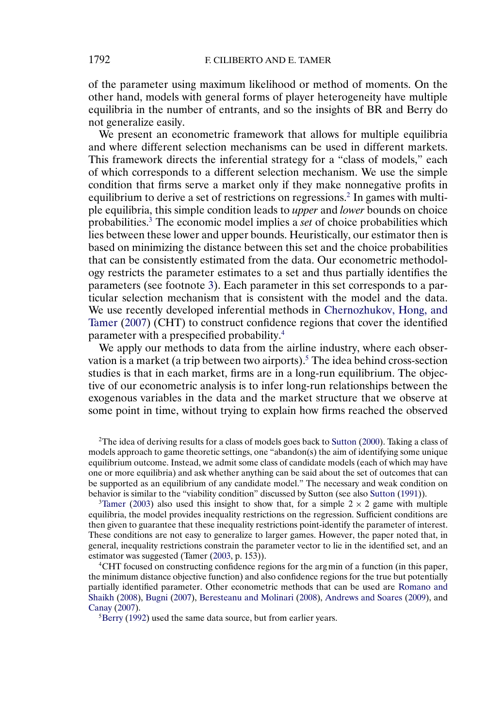of the parameter using maximum likelihood or method of moments. On the other hand, models with general forms of player heterogeneity have multiple equilibria in the number of entrants, and so the insights of BR and Berry do not generalize easily.

We present an econometric framework that allows for multiple equilibria and where different selection mechanisms can be used in different markets. This framework directs the inferential strategy for a "class of models," each of which corresponds to a different selection mechanism. We use the simple condition that firms serve a market only if they make nonnegative profits in equilibrium to derive a set of restrictions on regressions.<sup>2</sup> In games with multiple equilibria, this simple condition leads to *upper* and *lower* bounds on choice probabilities.<sup>3</sup> The economic model implies a *set* of choice probabilities which lies between these lower and upper bounds. Heuristically, our estimator then is based on minimizing the distance between this set and the choice probabilities that can be consistently estimated from the data. Our econometric methodology restricts the parameter estimates to a set and thus partially identifies the parameters (see footnote 3). Each parameter in this set corresponds to a particular selection mechanism that is consistent with the model and the data. We use recently developed inferential methods in Chernozhukov, Hong, and Tamer (2007) (CHT) to construct confidence regions that cover the identified parameter with a prespecified probability.<sup>4</sup>

We apply our methods to data from the airline industry, where each observation is a market (a trip between two airports).<sup>5</sup> The idea behind cross-section studies is that in each market, firms are in a long-run equilibrium. The objective of our econometric analysis is to infer long-run relationships between the exogenous variables in the data and the market structure that we observe at some point in time, without trying to explain how firms reached the observed

 $2$ The idea of deriving results for a class of models goes back to Sutton (2000). Taking a class of models approach to game theoretic settings, one "abandon(s) the aim of identifying some unique equilibrium outcome. Instead, we admit some class of candidate models (each of which may have one or more equilibria) and ask whether anything can be said about the set of outcomes that can be supported as an equilibrium of any candidate model." The necessary and weak condition on behavior is similar to the "viability condition" discussed by Sutton (see also Sutton (1991)).

<sup>3</sup>Tamer (2003) also used this insight to show that, for a simple  $2 \times 2$  game with multiple equilibria, the model provides inequality restrictions on the regression. Sufficient conditions are then given to guarantee that these inequality restrictions point-identify the parameter of interest. These conditions are not easy to generalize to larger games. However, the paper noted that, in general, inequality restrictions constrain the parameter vector to lie in the identified set, and an estimator was suggested (Tamer (2003, p. 153)).

<sup>4</sup>CHT focused on constructing confidence regions for the arg min of a function (in this paper, the minimum distance objective function) and also confidence regions for the true but potentially partially identified parameter. Other econometric methods that can be used are Romano and Shaikh (2008), Bugni (2007), Beresteanu and Molinari (2008), Andrews and Soares (2009), and Canay (2007).

<sup>5</sup>Berry (1992) used the same data source, but from earlier years.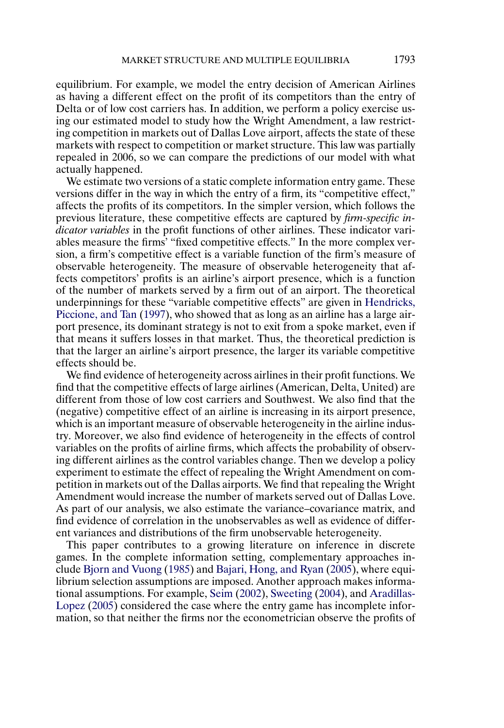equilibrium. For example, we model the entry decision of American Airlines as having a different effect on the profit of its competitors than the entry of Delta or of low cost carriers has. In addition, we perform a policy exercise using our estimated model to study how the Wright Amendment, a law restricting competition in markets out of Dallas Love airport, affects the state of these markets with respect to competition or market structure. This law was partially repealed in 2006, so we can compare the predictions of our model with what actually happened.

We estimate two versions of a static complete information entry game. These versions differ in the way in which the entry of a firm, its "competitive effect," affects the profits of its competitors. In the simpler version, which follows the previous literature, these competitive effects are captured by *firm-specific indicator variables* in the profit functions of other airlines. These indicator variables measure the firms' "fixed competitive effects." In the more complex version, a firm's competitive effect is a variable function of the firm's measure of observable heterogeneity. The measure of observable heterogeneity that affects competitors' profits is an airline's airport presence, which is a function of the number of markets served by a firm out of an airport. The theoretical underpinnings for these "variable competitive effects" are given in Hendricks, Piccione, and Tan (1997), who showed that as long as an airline has a large airport presence, its dominant strategy is not to exit from a spoke market, even if that means it suffers losses in that market. Thus, the theoretical prediction is that the larger an airline's airport presence, the larger its variable competitive effects should be.

We find evidence of heterogeneity across airlines in their profit functions. We find that the competitive effects of large airlines (American, Delta, United) are different from those of low cost carriers and Southwest. We also find that the (negative) competitive effect of an airline is increasing in its airport presence, which is an important measure of observable heterogeneity in the airline industry. Moreover, we also find evidence of heterogeneity in the effects of control variables on the profits of airline firms, which affects the probability of observing different airlines as the control variables change. Then we develop a policy experiment to estimate the effect of repealing the Wright Amendment on competition in markets out of the Dallas airports. We find that repealing the Wright Amendment would increase the number of markets served out of Dallas Love. As part of our analysis, we also estimate the variance–covariance matrix, and find evidence of correlation in the unobservables as well as evidence of different variances and distributions of the firm unobservable heterogeneity.

This paper contributes to a growing literature on inference in discrete games. In the complete information setting, complementary approaches include Bjorn and Vuong (1985) and Bajari, Hong, and Ryan (2005), where equilibrium selection assumptions are imposed. Another approach makes informational assumptions. For example, Seim (2002), Sweeting (2004), and Aradillas-Lopez (2005) considered the case where the entry game has incomplete information, so that neither the firms nor the econometrician observe the profits of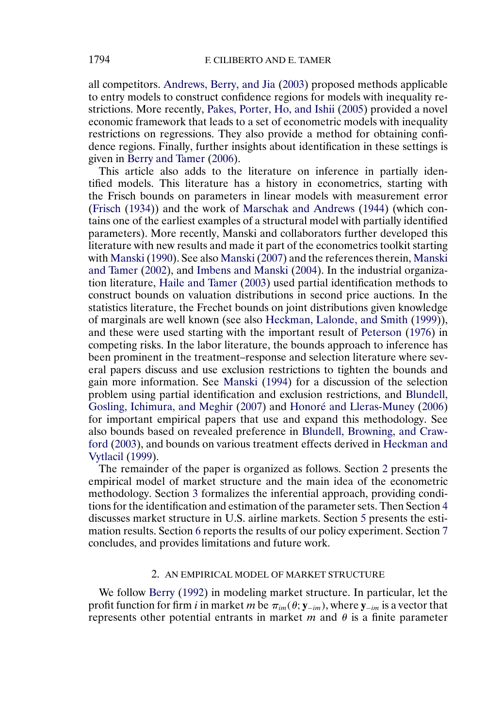all competitors. Andrews, Berry, and Jia (2003) proposed methods applicable to entry models to construct confidence regions for models with inequality restrictions. More recently, Pakes, Porter, Ho, and Ishii (2005) provided a novel economic framework that leads to a set of econometric models with inequality restrictions on regressions. They also provide a method for obtaining confidence regions. Finally, further insights about identification in these settings is given in Berry and Tamer (2006).

This article also adds to the literature on inference in partially identified models. This literature has a history in econometrics, starting with the Frisch bounds on parameters in linear models with measurement error (Frisch (1934)) and the work of Marschak and Andrews (1944) (which contains one of the earliest examples of a structural model with partially identified parameters). More recently, Manski and collaborators further developed this literature with new results and made it part of the econometrics toolkit starting with Manski (1990). See also Manski (2007) and the references therein, Manski and Tamer (2002), and Imbens and Manski (2004). In the industrial organization literature, Haile and Tamer (2003) used partial identification methods to construct bounds on valuation distributions in second price auctions. In the statistics literature, the Frechet bounds on joint distributions given knowledge of marginals are well known (see also Heckman, Lalonde, and Smith (1999)), and these were used starting with the important result of Peterson (1976) in competing risks. In the labor literature, the bounds approach to inference has been prominent in the treatment–response and selection literature where several papers discuss and use exclusion restrictions to tighten the bounds and gain more information. See Manski (1994) for a discussion of the selection problem using partial identification and exclusion restrictions, and Blundell, Gosling, Ichimura, and Meghir (2007) and Honoré and Lleras-Muney (2006) for important empirical papers that use and expand this methodology. See also bounds based on revealed preference in Blundell, Browning, and Crawford (2003), and bounds on various treatment effects derived in Heckman and Vytlacil (1999).

The remainder of the paper is organized as follows. Section 2 presents the empirical model of market structure and the main idea of the econometric methodology. Section 3 formalizes the inferential approach, providing conditions for the identification and estimation of the parameter sets. Then Section 4 discusses market structure in U.S. airline markets. Section 5 presents the estimation results. Section 6 reports the results of our policy experiment. Section 7 concludes, and provides limitations and future work.

# 2. AN EMPIRICAL MODEL OF MARKET STRUCTURE

We follow Berry (1992) in modeling market structure. In particular, let the profit function for firm *i* in market m be  $\pi_{im}(\theta; \mathbf{y}_{-im})$ , where  $\mathbf{y}_{-im}$  is a vector that represents other potential entrants in market m and  $\theta$  is a finite parameter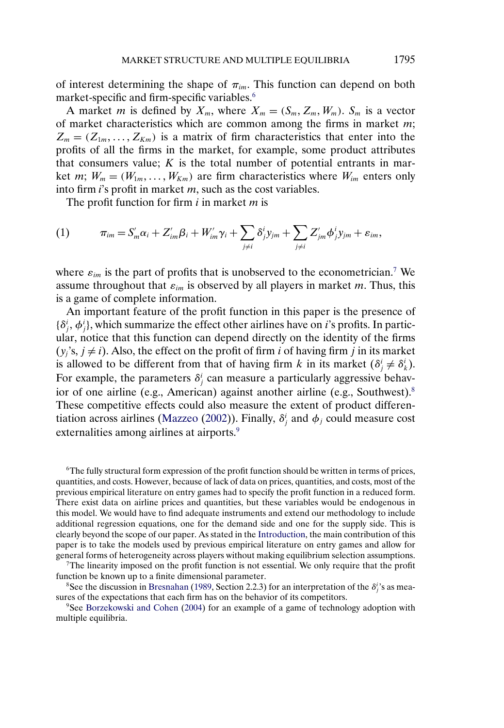of interest determining the shape of  $\pi_{im}$ . This function can depend on both market-specific and firm-specific variables.<sup>6</sup>

A market *m* is defined by  $X_m$ , where  $X_m = (S_m, Z_m, W_m)$ .  $S_m$  is a vector of market characteristics which are common among the firms in market  $m$ ;  $Z_m = (Z_{1m}, \ldots, Z_{Km})$  is a matrix of firm characteristics that enter into the profits of all the firms in the market, for example, some product attributes that consumers value;  $K$  is the total number of potential entrants in market m;  $W_m = (W_{1m}, \dots, W_{Km})$  are firm characteristics where  $W_{im}$  enters only into firm *i*'s profit in market m, such as the cost variables.

The profit function for firm  $i$  in market  $m$  is

(1) 
$$
\pi_{im}=S'_{m}\alpha_{i}+Z'_{im}\beta_{i}+W'_{im}\gamma_{i}+\sum_{j\neq i}\delta^{i}_{j}y_{jm}+\sum_{j\neq i}Z'_{jm}\phi^{i}_{j}y_{jm}+\varepsilon_{im},
$$

where  $\varepsilon_{im}$  is the part of profits that is unobserved to the econometrician.<sup>7</sup> We assume throughout that  $\varepsilon_{im}$  is observed by all players in market m. Thus, this is a game of complete information.

An important feature of the profit function in this paper is the presence of  $\{\delta_j^i, \phi_j^i\}$ , which summarize the effect other airlines have on *i*'s profits. In particular, notice that this function can depend directly on the identity of the firms  $(y_j's, j \neq i)$ . Also, the effect on the profit of firm i of having firm j in its market is allowed to be different from that of having firm k in its market  $(\delta_j^i \neq \delta_k^i)$ . For example, the parameters  $\delta_j^i$  can measure a particularly aggressive behavior of one airline (e.g., American) against another airline (e.g., Southwest).<sup>8</sup> These competitive effects could also measure the extent of product differentiation across airlines (Mazzeo (2002)). Finally,  $\delta_j^i$  and  $\phi_j$  could measure cost externalities among airlines at airports.<sup>9</sup>

 $6$ The fully structural form expression of the profit function should be written in terms of prices, quantities, and costs. However, because of lack of data on prices, quantities, and costs, most of the previous empirical literature on entry games had to specify the profit function in a reduced form. There exist data on airline prices and quantities, but these variables would be endogenous in this model. We would have to find adequate instruments and extend our methodology to include additional regression equations, one for the demand side and one for the supply side. This is clearly beyond the scope of our paper. As stated in the Introduction, the main contribution of this paper is to take the models used by previous empirical literature on entry games and allow for general forms of heterogeneity across players without making equilibrium selection assumptions.

 $<sup>7</sup>$ The linearity imposed on the profit function is not essential. We only require that the profit</sup> function be known up to a finite dimensional parameter.

<sup>8</sup>See the discussion in Bresnahan (1989, Section 2.2.3) for an interpretation of the  $\delta_j^i$ 's as measures of the expectations that each firm has on the behavior of its competitors.

<sup>9</sup>See Borzekowski and Cohen (2004) for an example of a game of technology adoption with multiple equilibria.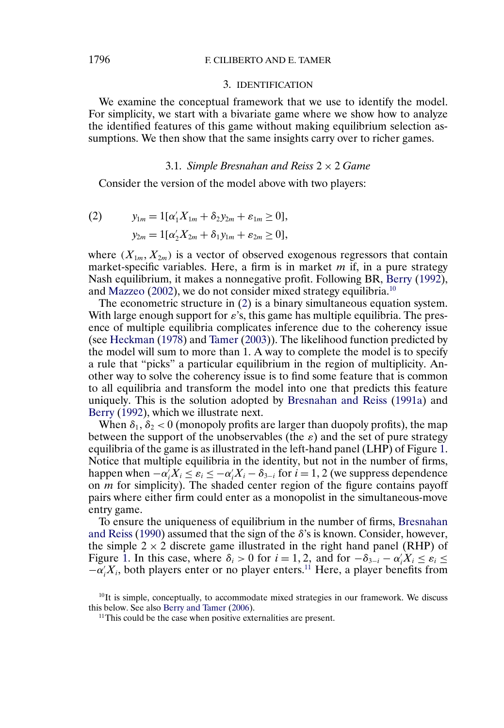# 1796 F. CILIBERTO AND E. TAMER

#### 3. IDENTIFICATION

We examine the conceptual framework that we use to identify the model. For simplicity, we start with a bivariate game where we show how to analyze the identified features of this game without making equilibrium selection assumptions. We then show that the same insights carry over to richer games.

#### 3.1. *Simple Bresnahan and Reiss* 2 × 2 *Game*

Consider the version of the model above with two players:

(2) 
$$
y_{1m} = 1[\alpha'_1 X_{1m} + \delta_2 y_{2m} + \varepsilon_{1m} \ge 0],
$$

$$
y_{2m} = 1[\alpha'_2 X_{2m} + \delta_1 y_{1m} + \varepsilon_{2m} \ge 0],
$$

where  $(X_{1m}, X_{2m})$  is a vector of observed exogenous regressors that contain market-specific variables. Here, a firm is in market  $m$  if, in a pure strategy Nash equilibrium, it makes a nonnegative profit. Following BR, Berry (1992), and Mazzeo (2002), we do not consider mixed strategy equilibria.<sup>10</sup>

The econometric structure in (2) is a binary simultaneous equation system. With large enough support for  $\varepsilon$ 's, this game has multiple equilibria. The presence of multiple equilibria complicates inference due to the coherency issue (see Heckman (1978) and Tamer (2003)). The likelihood function predicted by the model will sum to more than 1. A way to complete the model is to specify a rule that "picks" a particular equilibrium in the region of multiplicity. Another way to solve the coherency issue is to find some feature that is common to all equilibria and transform the model into one that predicts this feature uniquely. This is the solution adopted by Bresnahan and Reiss (1991a) and Berry (1992), which we illustrate next.

When  $\delta_1, \delta_2 < 0$  (monopoly profits are larger than duopoly profits), the map between the support of the unobservables (the  $\varepsilon$ ) and the set of pure strategy equilibria of the game is as illustrated in the left-hand panel (LHP) of Figure 1. Notice that multiple equilibria in the identity, but not in the number of firms, happen when  $-\alpha'_i X_i \le \varepsilon_i \le -\alpha'_i X_i - \delta_{3-i}$  for  $i = 1, 2$  (we suppress dependence on  $m$  for simplicity). The shaded center region of the figure contains payoff pairs where either firm could enter as a monopolist in the simultaneous-move entry game.

To ensure the uniqueness of equilibrium in the number of firms, Bresnahan and Reiss (1990) assumed that the sign of the  $\delta$ 's is known. Consider, however, the simple  $2 \times 2$  discrete game illustrated in the right hand panel (RHP) of Figure 1. In this case, where  $\delta_i > 0$  for  $i = 1, 2$ , and for  $-\delta_{3-i} - \alpha_i' X_i \le \varepsilon_i \le$  $-\alpha_i' X_i$ , both players enter or no player enters.<sup>11</sup> Here, a player benefits from

 $10$ It is simple, conceptually, to accommodate mixed strategies in our framework. We discuss this below. See also Berry and Tamer (2006).

<sup>&</sup>lt;sup>11</sup>This could be the case when positive externalities are present.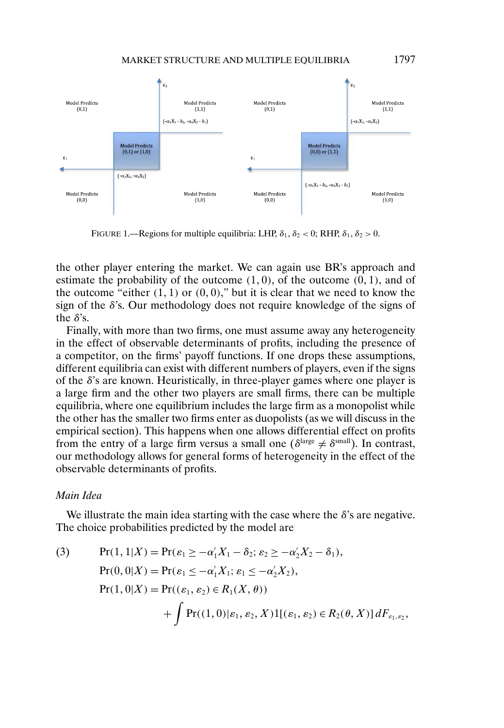

FIGURE 1.—Regions for multiple equilibria: LHP,  $\delta_1$ ,  $\delta_2$  < 0; RHP,  $\delta_1$ ,  $\delta_2$  > 0.

the other player entering the market. We can again use BR's approach and estimate the probability of the outcome  $(1, 0)$ , of the outcome  $(0, 1)$ , and of the outcome "either  $(1, 1)$  or  $(0, 0)$ ," but it is clear that we need to know the sign of the  $\delta$ 's. Our methodology does not require knowledge of the signs of the  $\delta$ 's.

Finally, with more than two firms, one must assume away any heterogeneity in the effect of observable determinants of profits, including the presence of a competitor, on the firms' payoff functions. If one drops these assumptions, different equilibria can exist with different numbers of players, even if the signs of the δ's are known. Heuristically, in three-player games where one player is a large firm and the other two players are small firms, there can be multiple equilibria, where one equilibrium includes the large firm as a monopolist while the other has the smaller two firms enter as duopolists (as we will discuss in the empirical section). This happens when one allows differential effect on profits from the entry of a large firm versus a small one ( $\delta^{\text{large}} \neq \delta^{\text{small}}$ ). In contrast, our methodology allows for general forms of heterogeneity in the effect of the observable determinants of profits.

# *Main Idea*

We illustrate the main idea starting with the case where the  $\delta$ 's are negative. The choice probabilities predicted by the model are

(3) 
$$
\Pr(1, 1|X) = \Pr(\varepsilon_1 \ge -\alpha'_1 X_1 - \delta_2; \varepsilon_2 \ge -\alpha'_2 X_2 - \delta_1),
$$

$$
\Pr(0, 0|X) = \Pr(\varepsilon_1 \le -\alpha'_1 X_1; \varepsilon_1 \le -\alpha'_2 X_2),
$$

$$
\Pr(1, 0|X) = \Pr((\varepsilon_1, \varepsilon_2) \in R_1(X, \theta))
$$

$$
+ \int \Pr((1, 0)|\varepsilon_1, \varepsilon_2, X) \mathbb{1}[(\varepsilon_1, \varepsilon_2) \in R_2(\theta, X)] dF_{\varepsilon_1, \varepsilon_2},
$$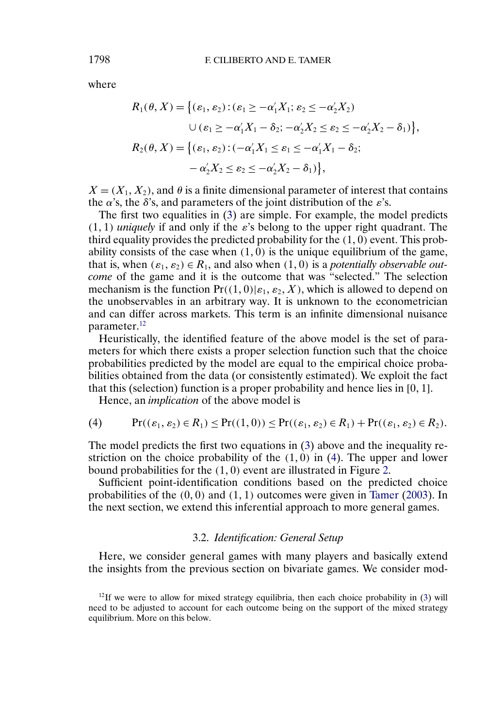where

$$
R_1(\theta, X) = \{ (\varepsilon_1, \varepsilon_2) : (\varepsilon_1 \ge -\alpha'_1 X_1; \varepsilon_2 \le -\alpha'_2 X_2)
$$
  

$$
\cup (\varepsilon_1 \ge -\alpha'_1 X_1 - \delta_2; -\alpha'_2 X_2 \le \varepsilon_2 \le -\alpha'_2 X_2 - \delta_1) \},
$$
  

$$
R_2(\theta, X) = \{ (\varepsilon_1, \varepsilon_2) : (-\alpha'_1 X_1 \le \varepsilon_1 \le -\alpha'_1 X_1 - \delta_2; -\alpha'_2 X_2 \le \varepsilon_2 \le -\alpha'_2 X_2 - \delta_1) \},
$$

 $X = (X_1, X_2)$ , and  $\theta$  is a finite dimensional parameter of interest that contains the  $\alpha$ 's, the  $\delta$ 's, and parameters of the joint distribution of the  $\varepsilon$ 's.

The first two equalities in (3) are simple. For example, the model predicts  $(1, 1)$  *uniquely* if and only if the  $\varepsilon$ 's belong to the upper right quadrant. The third equality provides the predicted probability for the  $(1, 0)$  event. This probability consists of the case when  $(1, 0)$  is the unique equilibrium of the game, that is, when  $(\varepsilon_1, \varepsilon_2) \in R_1$ , and also when  $(1, 0)$  is a *potentially observable outcome* of the game and it is the outcome that was "selected." The selection mechanism is the function  $Pr((1, 0)|\varepsilon_1, \varepsilon_2, X)$ , which is allowed to depend on the unobservables in an arbitrary way. It is unknown to the econometrician and can differ across markets. This term is an infinite dimensional nuisance parameter.<sup>12</sup>

Heuristically, the identified feature of the above model is the set of parameters for which there exists a proper selection function such that the choice probabilities predicted by the model are equal to the empirical choice probabilities obtained from the data (or consistently estimated). We exploit the fact that this (selection) function is a proper probability and hence lies in  $[0, 1]$ .

Hence, an *implication* of the above model is

(4) 
$$
Pr((\varepsilon_1, \varepsilon_2) \in R_1) \le Pr((1, 0)) \le Pr((\varepsilon_1, \varepsilon_2) \in R_1) + Pr((\varepsilon_1, \varepsilon_2) \in R_2).
$$

The model predicts the first two equations in (3) above and the inequality restriction on the choice probability of the  $(1, 0)$  in  $(4)$ . The upper and lower bound probabilities for the  $(1, 0)$  event are illustrated in Figure 2.

Sufficient point-identification conditions based on the predicted choice probabilities of the  $(0, 0)$  and  $(1, 1)$  outcomes were given in Tamer (2003). In the next section, we extend this inferential approach to more general games.

# 3.2. *Identification: General Setup*

Here, we consider general games with many players and basically extend the insights from the previous section on bivariate games. We consider mod-

 $12$ If we were to allow for mixed strategy equilibria, then each choice probability in (3) will need to be adjusted to account for each outcome being on the support of the mixed strategy equilibrium. More on this below.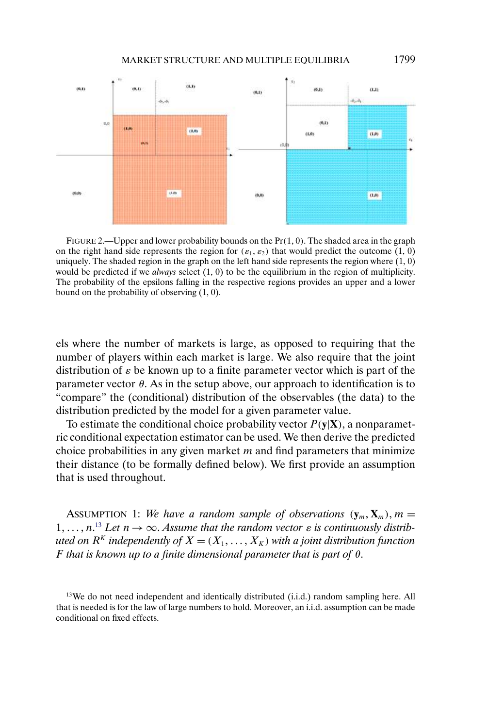MARKET STRUCTURE AND MULTIPLE EQUILIBRIA 1799



FIGURE 2.—Upper and lower probability bounds on the  $Pr(1, 0)$ . The shaded area in the graph on the right hand side represents the region for  $(\epsilon_1, \epsilon_2)$  that would predict the outcome  $(1, 0)$ uniquely. The shaded region in the graph on the left hand side represents the region where  $(1, 0)$ would be predicted if we *always* select (1, 0) to be the equilibrium in the region of multiplicity. The probability of the epsilons falling in the respective regions provides an upper and a lower bound on the probability of observing (1, 0).

els where the number of markets is large, as opposed to requiring that the number of players within each market is large. We also require that the joint distribution of  $\varepsilon$  be known up to a finite parameter vector which is part of the parameter vector  $\theta$ . As in the setup above, our approach to identification is to "compare" the (conditional) distribution of the observables (the data) to the distribution predicted by the model for a given parameter value.

To estimate the conditional choice probability vector  $P(y|X)$ , a nonparametric conditional expectation estimator can be used. We then derive the predicted choice probabilities in any given market  $m$  and find parameters that minimize their distance (to be formally defined below). We first provide an assumption that is used throughout.

ASSUMPTION 1: We have a random sample of observations  $(\mathbf{y}_m, \mathbf{X}_m)$ ,  $m =$  $1, \ldots, n$ <sup>13</sup> Let  $n \to \infty$ . Assume that the random vector  $\varepsilon$  is continuously distrib*uted on*  $R^K$  *independently of*  $X = (X_1, \ldots, X_K)$  *with a joint distribution function* F *that is known up to a finite dimensional parameter that is part of* θ.

<sup>&</sup>lt;sup>13</sup>We do not need independent and identically distributed (i.i.d.) random sampling here. All that is needed is for the law of large numbers to hold. Moreover, an i.i.d. assumption can be made conditional on fixed effects.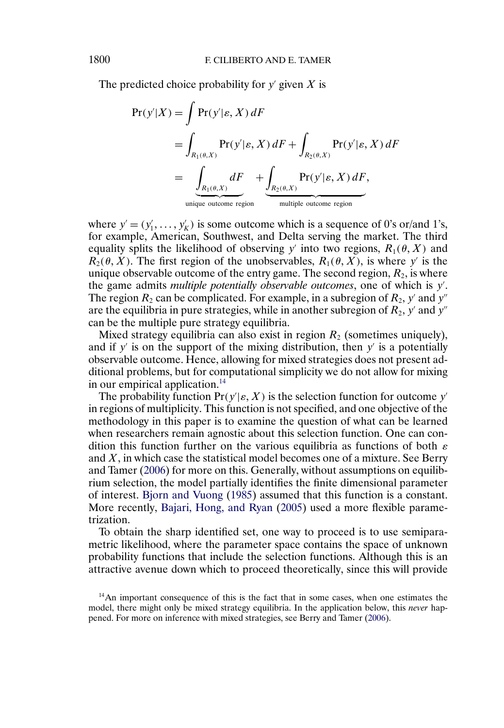The predicted choice probability for  $y'$  given X is

$$
Pr(y'|X) = \int Pr(y'|\varepsilon, X) dF
$$
  
= 
$$
\int_{R_1(\theta, X)} Pr(y'|\varepsilon, X) dF + \int_{R_2(\theta, X)} Pr(y'|\varepsilon, X) dF
$$
  
= 
$$
\underbrace{\int_{R_1(\theta, X)} df}_{\text{unique outcome region}} + \underbrace{\int_{R_2(\theta, X)} Pr(y'|\varepsilon, X) dF}_{\text{multiple outcome region}}
$$

where  $y' = (y'_1, \dots, y'_K)$  is some outcome which is a sequence of 0's or/and 1's, for example, American, Southwest, and Delta serving the market. The third equality splits the likelihood of observing y' into two regions,  $R_1(\theta, X)$  and  $R_2(\theta, X)$ . The first region of the unobservables,  $R_1(\theta, X)$ , is where y' is the unique observable outcome of the entry game. The second region,  $R_2$ , is where the game admits *multiple potentially observable outcomes*, one of which is y ′ . The region  $R_2$  can be complicated. For example, in a subregion of  $R_2$ , y' and y'' are the equilibria in pure strategies, while in another subregion of  $R_2$ ,  $y'$  and  $y''$ can be the multiple pure strategy equilibria.

Mixed strategy equilibria can also exist in region  $R_2$  (sometimes uniquely), and if  $y'$  is on the support of the mixing distribution, then  $y'$  is a potentially observable outcome. Hence, allowing for mixed strategies does not present additional problems, but for computational simplicity we do not allow for mixing in our empirical application.<sup>14</sup>

The probability function  $Pr(y'| \varepsilon, X)$  is the selection function for outcome y' in regions of multiplicity. This function is not specified, and one objective of the methodology in this paper is to examine the question of what can be learned when researchers remain agnostic about this selection function. One can condition this function further on the various equilibria as functions of both  $\varepsilon$ and  $X$ , in which case the statistical model becomes one of a mixture. See Berry and Tamer (2006) for more on this. Generally, without assumptions on equilibrium selection, the model partially identifies the finite dimensional parameter of interest. Bjorn and Vuong (1985) assumed that this function is a constant. More recently, Bajari, Hong, and Ryan (2005) used a more flexible parametrization.

To obtain the sharp identified set, one way to proceed is to use semiparametric likelihood, where the parameter space contains the space of unknown probability functions that include the selection functions. Although this is an attractive avenue down which to proceed theoretically, since this will provide

 $14$ An important consequence of this is the fact that in some cases, when one estimates the model, there might only be mixed strategy equilibria. In the application below, this *never* happened. For more on inference with mixed strategies, see Berry and Tamer (2006).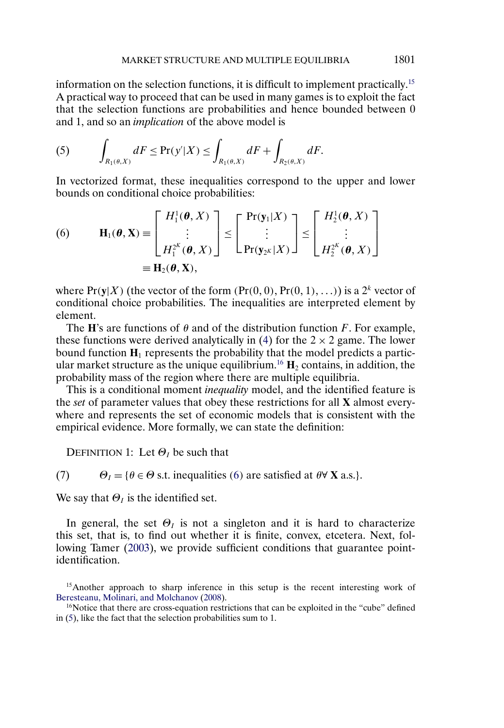information on the selection functions, it is difficult to implement practically.<sup>15</sup> A practical way to proceed that can be used in many games is to exploit the fact that the selection functions are probabilities and hence bounded between 0 and 1, and so an *implication* of the above model is

(5) 
$$
\int_{R_1(\theta,X)} dF \le \Pr(y'|X) \le \int_{R_1(\theta,X)} dF + \int_{R_2(\theta,X)} dF.
$$

In vectorized format, these inequalities correspond to the upper and lower bounds on conditional choice probabilities:

(6) 
$$
\mathbf{H}_{1}(\boldsymbol{\theta}, \mathbf{X}) \equiv \begin{bmatrix} H_{1}^{1}(\boldsymbol{\theta}, X) \\ \vdots \\ H_{1}^{2^{K}}(\boldsymbol{\theta}, X) \end{bmatrix} \leq \begin{bmatrix} Pr(\mathbf{y}_{1}|X) \\ \vdots \\ Pr(\mathbf{y}_{2^{K}}|X) \end{bmatrix} \leq \begin{bmatrix} H_{2}^{1}(\boldsymbol{\theta}, X) \\ \vdots \\ H_{2}^{2^{K}}(\boldsymbol{\theta}, X) \end{bmatrix}
$$

$$
\equiv \mathbf{H}_{2}(\boldsymbol{\theta}, \mathbf{X}),
$$

where  $Pr(y|X)$  (the vector of the form  $(Pr(0, 0), Pr(0, 1), ...)$ ) is a 2<sup>k</sup> vector of conditional choice probabilities. The inequalities are interpreted element by element.

The **H**'s are functions of  $\theta$  and of the distribution function F. For example, these functions were derived analytically in (4) for the  $2 \times 2$  game. The lower bound function  $\mathbf{H}_1$  represents the probability that the model predicts a particular market structure as the unique equilibrium.<sup>16</sup>  $\mathbf{H}_2$  contains, in addition, the probability mass of the region where there are multiple equilibria.

This is a conditional moment *inequality* model, and the identified feature is the *set* of parameter values that obey these restrictions for all **X** almost everywhere and represents the set of economic models that is consistent with the empirical evidence. More formally, we can state the definition:

DEFINITION 1: Let  $\Theta_I$  be such that

(7)  $\Theta_I = {\theta \in \Theta \text{ s.t. inequalities (6) are satisfied at } \theta \forall \textbf{X} \text{ a.s.}}.$ 

We say that  $\Theta_I$  is the identified set.

In general, the set  $\Theta$ <sub>I</sub> is not a singleton and it is hard to characterize this set, that is, to find out whether it is finite, convex, etcetera. Next, following Tamer (2003), we provide sufficient conditions that guarantee pointidentification.

<sup>&</sup>lt;sup>15</sup>Another approach to sharp inference in this setup is the recent interesting work of Beresteanu, Molinari, and Molchanov (2008).

<sup>&</sup>lt;sup>16</sup>Notice that there are cross-equation restrictions that can be exploited in the "cube" defined in (5), like the fact that the selection probabilities sum to 1.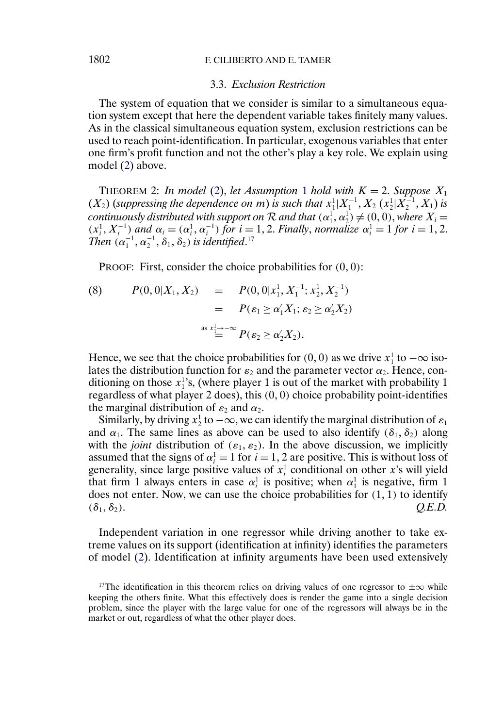# 1802 **F. CILIBERTO AND E. TAMER**

#### 3.3. *Exclusion Restriction*

The system of equation that we consider is similar to a simultaneous equation system except that here the dependent variable takes finitely many values. As in the classical simultaneous equation system, exclusion restrictions can be used to reach point-identification. In particular, exogenous variables that enter one firm's profit function and not the other's play a key role. We explain using model (2) above.

THEOREM 2: *In model* (2), *let Assumption* 1 *hold with*  $K = 2$ . *Suppose*  $X_1$  $(X_2)$  (suppressing the dependence on *m*) is such that  $x_1^1 | X_1^{-1}$ ,  $X_2 (x_2^1 | X_2^{-1}, X_1)$  is *continuously distributed with support on*  $R$  *and that*  $(\alpha_1^1, \alpha_2^1) \neq (0, 0)$ *, where*  $X_i =$  $(x_i^1, X_i^{-1})$  and  $\alpha_i = (\alpha_i^1, \alpha_i^{-1})$  for  $i = 1, 2$ . *Finally, normalize*  $\alpha_i^1 = 1$  for  $i = 1, 2$ . *Then*  $(\alpha_1^{-1}, \alpha_2^{-1}, \delta_1, \delta_2)$  *is identified.*<sup>17</sup>

PROOF: First, consider the choice probabilities for  $(0, 0)$ :

(8)  $P(0,0|X_1, X_2) = P(0,0|x_1^1, X_1^{-1}; x_2^1, X_2^{-1})$  $= P(\varepsilon_1 \geq \alpha'_1 X_1; \varepsilon_2 \geq \alpha'_2 X_2)$ as  $x_1^1 \rightarrow -\infty$   $P(\varepsilon_2 \ge \alpha'_2 X_2)$ .

Hence, we see that the choice probabilities for  $(0, 0)$  as we drive  $x_1^1$  to  $-\infty$  isolates the distribution function for  $\varepsilon_2$  and the parameter vector  $\alpha_2$ . Hence, conditioning on those  $x_1^1$ 's, (where player 1 is out of the market with probability 1 regardless of what player 2 does), this  $(0, 0)$  choice probability point-identifies the marginal distribution of  $\varepsilon_2$  and  $\alpha_2$ .

Similarly, by driving  $x_2^1$  to  $-\infty$ , we can identify the marginal distribution of  $\varepsilon_1$ and  $\alpha_1$ . The same lines as above can be used to also identify  $(\delta_1, \delta_2)$  along with the *joint* distribution of  $(\varepsilon_1, \varepsilon_2)$ . In the above discussion, we implicitly assumed that the signs of  $\alpha_i^1 = 1$  for  $i = 1, 2$  are positive. This is without loss of generality, since large positive values of  $x_i^1$  conditional on other x's will yield that firm 1 always enters in case  $\alpha_i^1$  is positive; when  $\alpha_1^1$  is negative, firm 1 does not enter. Now, we can use the choice probabilities for  $(1, 1)$  to identify  $(\delta_1, \delta_2)$ .  $Q.E.D.$ 

Independent variation in one regressor while driving another to take extreme values on its support (identification at infinity) identifies the parameters of model (2). Identification at infinity arguments have been used extensively

<sup>&</sup>lt;sup>17</sup>The identification in this theorem relies on driving values of one regressor to  $\pm \infty$  while keeping the others finite. What this effectively does is render the game into a single decision problem, since the player with the large value for one of the regressors will always be in the market or out, regardless of what the other player does.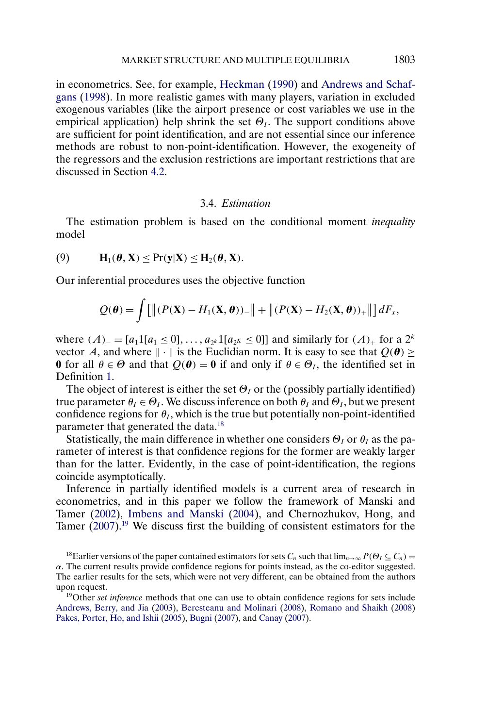in econometrics. See, for example, Heckman (1990) and Andrews and Schafgans (1998). In more realistic games with many players, variation in excluded exogenous variables (like the airport presence or cost variables we use in the empirical application) help shrink the set  $\Theta$ <sub>I</sub>. The support conditions above are sufficient for point identification, and are not essential since our inference methods are robust to non-point-identification. However, the exogeneity of the regressors and the exclusion restrictions are important restrictions that are discussed in Section 4.2.

# 3.4. *Estimation*

The estimation problem is based on the conditional moment *inequality* model

(9) 
$$
\mathbf{H}_1(\boldsymbol{\theta}, \mathbf{X}) \leq Pr(\mathbf{y}|\mathbf{X}) \leq \mathbf{H}_2(\boldsymbol{\theta}, \mathbf{X}).
$$

Our inferential procedures uses the objective function

$$
Q(\boldsymbol{\theta}) = \int \left[ \left\| (P(\mathbf{X}) - H_1(\mathbf{X}, \boldsymbol{\theta}))_- \right\| + \left\| (P(\mathbf{X}) - H_2(\mathbf{X}, \boldsymbol{\theta}))_+ \right\| \right] dF_x,
$$

where  $(A)$ <sub>−</sub> = [ $a_1$ 1[ $a_1$  ≤ 0], ...,  $a_{2^k}$ 1[ $a_{2^k}$  ≤ 0]] and similarly for  $(A)$ <sub>+</sub> for a 2<sup>k</sup> vector A, and where  $\|\cdot\|$  is the Euclidian norm. It is easy to see that  $Q(\theta) \ge$ **0** for all  $\theta \in \Theta$  and that  $Q(\theta) = 0$  if and only if  $\theta \in \Theta_I$ , the identified set in Definition 1.

The object of interest is either the set  $\Theta$ <sub>I</sub> or the (possibly partially identified) true parameter  $\theta_I \in \Theta_I$ . We discuss inference on both  $\theta_I$  and  $\Theta_I$ , but we present confidence regions for  $\theta_I$ , which is the true but potentially non-point-identified parameter that generated the data.<sup>18</sup>

Statistically, the main difference in whether one considers  $\Theta$ <sub>*I*</sub> or  $\theta$ <sub>*I*</sub> as the parameter of interest is that confidence regions for the former are weakly larger than for the latter. Evidently, in the case of point-identification, the regions coincide asymptotically.

Inference in partially identified models is a current area of research in econometrics, and in this paper we follow the framework of Manski and Tamer (2002), Imbens and Manski (2004), and Chernozhukov, Hong, and Tamer (2007).<sup>19</sup> We discuss first the building of consistent estimators for the

<sup>18</sup>Earlier versions of the paper contained estimators for sets  $C_n$  such that  $\lim_{n\to\infty} P(\Theta_I \subseteq C_n)$  $\alpha$ . The current results provide confidence regions for points instead, as the co-editor suggested. The earlier results for the sets, which were not very different, can be obtained from the authors upon request.

<sup>19</sup>Other *set inference* methods that one can use to obtain confidence regions for sets include Andrews, Berry, and Jia (2003), Beresteanu and Molinari (2008), Romano and Shaikh (2008) Pakes, Porter, Ho, and Ishii (2005), Bugni (2007), and Canay (2007).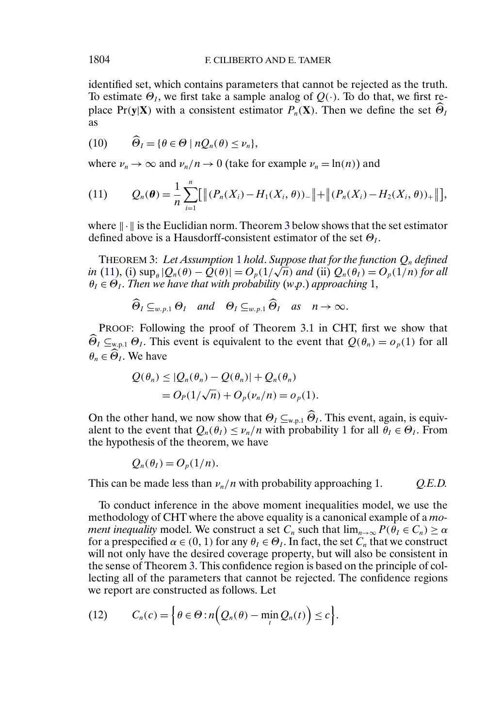identified set, which contains parameters that cannot be rejected as the truth. To estimate  $\Theta_I$ , we first take a sample analog of  $Q(\cdot)$ . To do that, we first replace Pr(y|**X**) with a consistent estimator  $P_n(\mathbf{X})$ . Then we define the set  $\widehat{\Theta}_I$ as

$$
(10) \qquad \widehat{\Theta}_I = \{ \theta \in \Theta \mid nQ_n(\theta) \leq \nu_n \},
$$

where  $\nu_n \to \infty$  and  $\nu_n/n \to 0$  (take for example  $\nu_n = \ln(n)$ ) and

(11) 
$$
Q_n(\boldsymbol{\theta}) = \frac{1}{n} \sum_{i=1}^n [\|(P_n(X_i) - H_1(X_i, \boldsymbol{\theta}))_{-}\| + \|(P_n(X_i) - H_2(X_i, \boldsymbol{\theta}))_{+}\|],
$$

where  $\|\cdot\|$  is the Euclidian norm. Theorem 3 below shows that the set estimator defined above is a Hausdorff-consistent estimator of the set  $\Theta$ <sub>*i*</sub>.

THEOREM 3: Let Assumption 1 hold. Suppose that for the function  $Q_n$  defined *in* (11), (i)  $\sup_{\theta} |\mathcal{Q}_n(\theta) - \mathcal{Q}(\theta)| = O_p(1/\sqrt{n})$  and (ii)  $Q_n(\theta) = O_p(1/n)$  for all  $\theta_I \in \Theta_I$ . Then we have that with probability (w.p.) approaching 1,

$$
\widehat{\Theta}_I \subseteq_{w.p.1} \Theta_I \quad and \quad \Theta_I \subseteq_{w.p.1} \widehat{\Theta}_I \quad as \quad n \to \infty.
$$

PROOF: Following the proof of Theorem 3.1 in CHT, first we show that  $\Theta_I \subseteq_{\text{w.p.1}} \Theta_I$ . This event is equivalent to the event that  $Q(\theta_n) = o_p(1)$  for all  $\theta_n \in \Theta_I$ . We have

$$
Q(\theta_n) \leq |Q_n(\theta_n) - Q(\theta_n)| + Q_n(\theta_n)
$$
  
=  $O_P(1/\sqrt{n}) + O_P(\nu_n/n) = o_P(1).$ 

On the other hand, we now show that  $\Theta_I \subseteq_{w,p,1} \Theta_I$ . This event, again, is equivalent to the event that  $Q_n(\theta_I) \le \nu_n/n$  with probability 1 for all  $\theta_I \in \Theta_I$ . From the hypothesis of the theorem, we have

$$
Q_n(\theta_I) = O_p(1/n).
$$

This can be made less than  $\nu_n/n$  with probability approaching 1.  $Q.E.D.$ 

To conduct inference in the above moment inequalities model, we use the methodology of CHT where the above equality is a canonical example of a *moment inequality* model. We construct a set  $C_n$  such that  $\lim_{n\to\infty} P(\theta_i \in C_n) \ge \alpha$ for a prespecified  $\alpha \in (0, 1)$  for any  $\theta_I \in \Theta_I$ . In fact, the set  $C_n$  that we construct will not only have the desired coverage property, but will also be consistent in the sense of Theorem 3. This confidence region is based on the principle of collecting all of the parameters that cannot be rejected. The confidence regions we report are constructed as follows. Let

(12) 
$$
C_n(c) = \left\{\theta \in \Theta : n\left(Q_n(\theta) - \min_t Q_n(t)\right) \leq c\right\}.
$$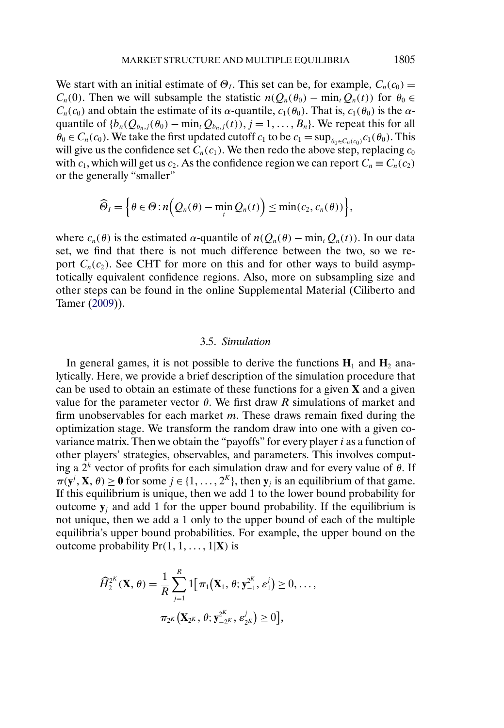We start with an initial estimate of  $\Theta_I$ . This set can be, for example,  $C_n(c_0)$  =  $C_n(0)$ . Then we will subsample the statistic  $n(Q_n(\theta_0) - \min_t Q_n(t))$  for  $\theta_0 \in$  $C_n(c_0)$  and obtain the estimate of its  $\alpha$ -quantile,  $c_1(\theta_0)$ . That is,  $c_1(\theta_0)$  is the  $\alpha$ quantile of  ${b_n(Q_{b_n,j}(\theta_0) - \min_t Q_{b_n,j}(t))}$ ,  $j = 1, \ldots, B_n$ . We repeat this for all  $\theta_0 \in C_n(c_0)$ . We take the first updated cutoff  $c_1$  to be  $c_1 = \sup_{\theta_0 \in C_n(c_0)} c_1(\theta_0)$ . This will give us the confidence set  $C_n(c_1)$ . We then redo the above step, replacing  $c_0$ with  $c_1$ , which will get us  $c_2$ . As the confidence region we can report  $C_n \equiv C_n(c_2)$ or the generally "smaller"

$$
\widehat{\Theta}_I = \Big\{\theta \in \Theta : n\Big(Q_n(\theta) - \min_t Q_n(t)\Big) \leq \min(c_2, c_n(\theta))\Big\},\
$$

where  $c_n(\theta)$  is the estimated  $\alpha$ -quantile of  $n(Q_n(\theta) - \min_{t} Q_n(t))$ . In our data set, we find that there is not much difference between the two, so we report  $C_n(c_2)$ . See CHT for more on this and for other ways to build asymptotically equivalent confidence regions. Also, more on subsampling size and other steps can be found in the online Supplemental Material (Ciliberto and Tamer (2009)).

# 3.5. *Simulation*

In general games, it is not possible to derive the functions  $H_1$  and  $H_2$  analytically. Here, we provide a brief description of the simulation procedure that can be used to obtain an estimate of these functions for a given **X** and a given value for the parameter vector  $\theta$ . We first draw R simulations of market and firm unobservables for each market  $m$ . These draws remain fixed during the optimization stage. We transform the random draw into one with a given covariance matrix. Then we obtain the "payoffs" for every player  $i$  as a function of other players' strategies, observables, and parameters. This involves computing a  $2^k$  vector of profits for each simulation draw and for every value of  $\theta$ . If  $\pi(\mathbf{y}^j, \mathbf{X}, \theta) \geq \mathbf{0}$  for some  $j \in \{1, ..., 2^K\}$ , then  $\mathbf{y}_j$  is an equilibrium of that game. If this equilibrium is unique, then we add 1 to the lower bound probability for outcome  $\mathbf{y}_i$  and add 1 for the upper bound probability. If the equilibrium is not unique, then we add a 1 only to the upper bound of each of the multiple equilibria's upper bound probabilities. For example, the upper bound on the outcome probability  $Pr(1, 1, \ldots, 1 | \mathbf{X})$  is

$$
\widehat{H}_{2}^{2^{K}}(\mathbf{X}, \theta) = \frac{1}{R} \sum_{j=1}^{R} \mathbb{1} [\pi_{1}(\mathbf{X}_{1}, \theta; \mathbf{y}_{-1}^{2^{K}}, \varepsilon_{1}^{j}) \geq 0, \ldots, \pi_{2^{K}}(\mathbf{X}_{2^{K}}, \theta; \mathbf{y}_{-2^{K}}^{2^{K}}, \varepsilon_{2^{K}}^{j}) \geq 0],
$$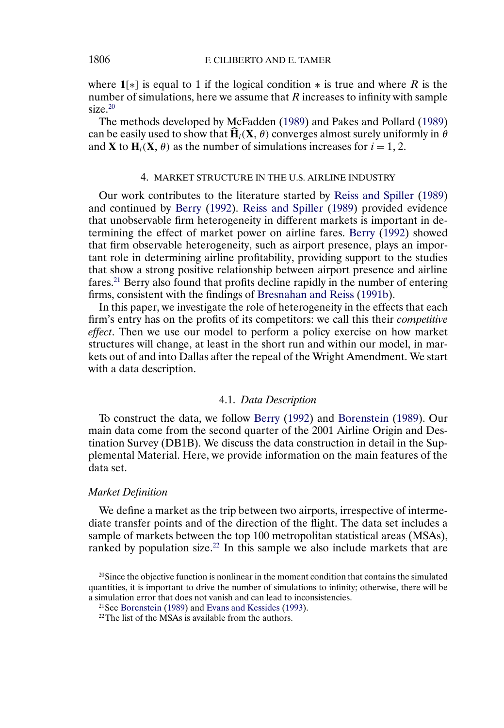where  $1[*]$  is equal to 1 if the logical condition  $*$  is true and where R is the number of simulations, here we assume that  $R$  increases to infinity with sample size. $20$ 

The methods developed by McFadden (1989) and Pakes and Pollard (1989) can be easily used to show that  $\hat{H}_i(X, \theta)$  converges almost surely uniformly in  $\theta$ and **X** to  $H_i(X, \theta)$  as the number of simulations increases for  $i = 1, 2$ .

#### 4. MARKET STRUCTURE IN THE U.S. AIRLINE INDUSTRY

Our work contributes to the literature started by Reiss and Spiller (1989) and continued by Berry (1992). Reiss and Spiller (1989) provided evidence that unobservable firm heterogeneity in different markets is important in determining the effect of market power on airline fares. Berry (1992) showed that firm observable heterogeneity, such as airport presence, plays an important role in determining airline profitability, providing support to the studies that show a strong positive relationship between airport presence and airline fares.<sup>21</sup> Berry also found that profits decline rapidly in the number of entering firms, consistent with the findings of Bresnahan and Reiss (1991b).

In this paper, we investigate the role of heterogeneity in the effects that each firm's entry has on the profits of its competitors: we call this their *competitive effect*. Then we use our model to perform a policy exercise on how market structures will change, at least in the short run and within our model, in markets out of and into Dallas after the repeal of the Wright Amendment. We start with a data description.

# 4.1. *Data Description*

To construct the data, we follow Berry (1992) and Borenstein (1989). Our main data come from the second quarter of the 2001 Airline Origin and Destination Survey (DB1B). We discuss the data construction in detail in the Supplemental Material. Here, we provide information on the main features of the data set.

## *Market Definition*

We define a market as the trip between two airports, irrespective of intermediate transfer points and of the direction of the flight. The data set includes a sample of markets between the top 100 metropolitan statistical areas (MSAs), ranked by population size.<sup>22</sup> In this sample we also include markets that are

 $20$ Since the objective function is nonlinear in the moment condition that contains the simulated quantities, it is important to drive the number of simulations to infinity; otherwise, there will be a simulation error that does not vanish and can lead to inconsistencies.

<sup>21</sup>See Borenstein (1989) and Evans and Kessides (1993).

 $22$ The list of the MSAs is available from the authors.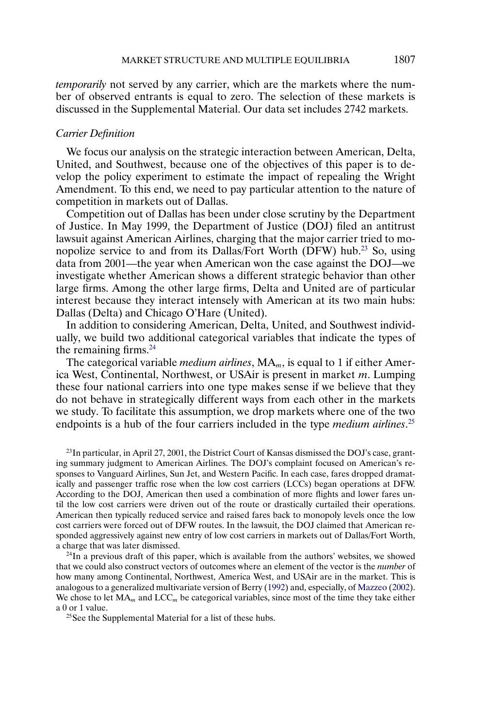*temporarily* not served by any carrier, which are the markets where the number of observed entrants is equal to zero. The selection of these markets is discussed in the Supplemental Material. Our data set includes 2742 markets.

# *Carrier Definition*

We focus our analysis on the strategic interaction between American, Delta, United, and Southwest, because one of the objectives of this paper is to develop the policy experiment to estimate the impact of repealing the Wright Amendment. To this end, we need to pay particular attention to the nature of competition in markets out of Dallas.

Competition out of Dallas has been under close scrutiny by the Department of Justice. In May 1999, the Department of Justice (DOJ) filed an antitrust lawsuit against American Airlines, charging that the major carrier tried to monopolize service to and from its Dallas/Fort Worth (DFW) hub.<sup>23</sup> So, using data from 2001—the year when American won the case against the DOJ—we investigate whether American shows a different strategic behavior than other large firms. Among the other large firms, Delta and United are of particular interest because they interact intensely with American at its two main hubs: Dallas (Delta) and Chicago O'Hare (United).

In addition to considering American, Delta, United, and Southwest individually, we build two additional categorical variables that indicate the types of the remaining firms. $24$ 

The categorical variable *medium airlines*,  $MA<sub>m</sub>$ , is equal to 1 if either America West, Continental, Northwest, or USAir is present in market m. Lumping these four national carriers into one type makes sense if we believe that they do not behave in strategically different ways from each other in the markets we study. To facilitate this assumption, we drop markets where one of the two endpoints is a hub of the four carriers included in the type *medium airlines*. 25

<sup>23</sup>In particular, in April 27, 2001, the District Court of Kansas dismissed the DOJ's case, granting summary judgment to American Airlines. The DOJ's complaint focused on American's responses to Vanguard Airlines, Sun Jet, and Western Pacific. In each case, fares dropped dramatically and passenger traffic rose when the low cost carriers (LCCs) began operations at DFW. According to the DOJ, American then used a combination of more flights and lower fares until the low cost carriers were driven out of the route or drastically curtailed their operations. American then typically reduced service and raised fares back to monopoly levels once the low cost carriers were forced out of DFW routes. In the lawsuit, the DOJ claimed that American responded aggressively against new entry of low cost carriers in markets out of Dallas/Fort Worth, a charge that was later dismissed.

 $^{24}$ In a previous draft of this paper, which is available from the authors' websites, we showed that we could also construct vectors of outcomes where an element of the vector is the *number* of how many among Continental, Northwest, America West, and USAir are in the market. This is analogous to a generalized multivariate version of Berry (1992) and, especially, of Mazzeo (2002). We chose to let  $MA_m$  and  $LCC_m$  be categorical variables, since most of the time they take either a 0 or 1 value.

25See the Supplemental Material for a list of these hubs.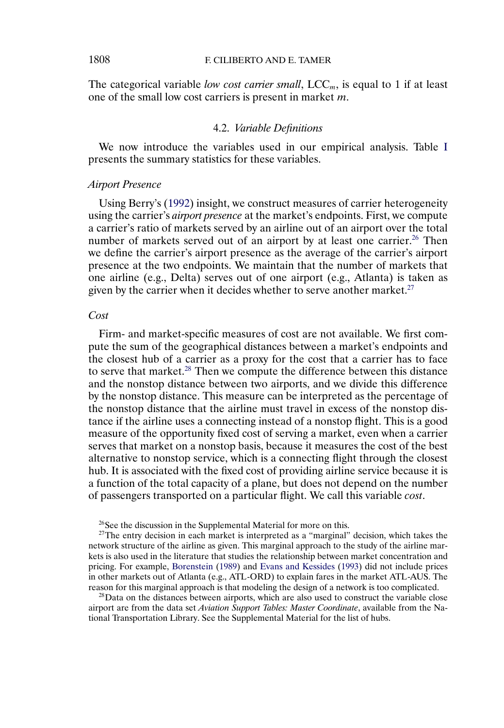The categorical variable *low cost carrier small*,  $LCC_m$ , is equal to 1 if at least one of the small low cost carriers is present in market m.

# 4.2. *Variable Definitions*

We now introduce the variables used in our empirical analysis. Table I presents the summary statistics for these variables.

# *Airport Presence*

Using Berry's (1992) insight, we construct measures of carrier heterogeneity using the carrier's *airport presence* at the market's endpoints. First, we compute a carrier's ratio of markets served by an airline out of an airport over the total number of markets served out of an airport by at least one carrier.<sup>26</sup> Then we define the carrier's airport presence as the average of the carrier's airport presence at the two endpoints. We maintain that the number of markets that one airline (e.g., Delta) serves out of one airport (e.g., Atlanta) is taken as given by the carrier when it decides whether to serve another market. $27$ 

#### *Cost*

Firm- and market-specific measures of cost are not available. We first compute the sum of the geographical distances between a market's endpoints and the closest hub of a carrier as a proxy for the cost that a carrier has to face to serve that market.<sup>28</sup> Then we compute the difference between this distance and the nonstop distance between two airports, and we divide this difference by the nonstop distance. This measure can be interpreted as the percentage of the nonstop distance that the airline must travel in excess of the nonstop distance if the airline uses a connecting instead of a nonstop flight. This is a good measure of the opportunity fixed cost of serving a market, even when a carrier serves that market on a nonstop basis, because it measures the cost of the best alternative to nonstop service, which is a connecting flight through the closest hub. It is associated with the fixed cost of providing airline service because it is a function of the total capacity of a plane, but does not depend on the number of passengers transported on a particular flight. We call this variable *cost*.

<sup>26</sup>See the discussion in the Supplemental Material for more on this.

 $27$ The entry decision in each market is interpreted as a "marginal" decision, which takes the network structure of the airline as given. This marginal approach to the study of the airline markets is also used in the literature that studies the relationship between market concentration and pricing. For example, Borenstein (1989) and Evans and Kessides (1993) did not include prices in other markets out of Atlanta (e.g., ATL-ORD) to explain fares in the market ATL-AUS. The reason for this marginal approach is that modeling the design of a network is too complicated.

<sup>28</sup>Data on the distances between airports, which are also used to construct the variable close airport are from the data set *Aviation Support Tables: Master Coordinate*, available from the National Transportation Library. See the Supplemental Material for the list of hubs.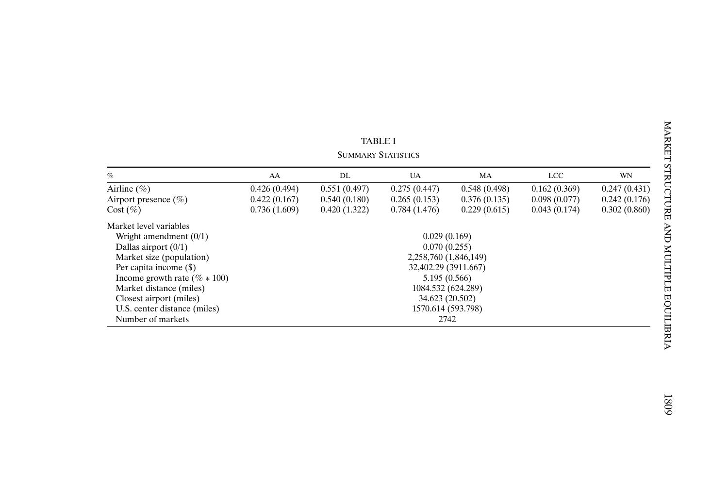| <b>SUMMARY STATISTICS</b>         |                      |              |                       |              |              |              |
|-----------------------------------|----------------------|--------------|-----------------------|--------------|--------------|--------------|
| %                                 | AA                   | DL           | <b>UA</b>             | MA           | LCC          | WN           |
| Airline $(\% )$                   | 0.426(0.494)         | 0.551(0.497) | 0.275(0.447)          | 0.548(0.498) | 0.162(0.369) | 0.247(0.431) |
| Airport presence $(\% )$          | 0.422(0.167)         | 0.540(0.180) | 0.265(0.153)          | 0.376(0.135) | 0.098(0.077) | 0.242(0.176) |
| $Cost (\%)$                       | 0.736(1.609)         | 0.420(1.322) | 0.784(1.476)          | 0.229(0.615) | 0.043(0.174) | 0.302(0.860) |
| Market level variables            |                      |              |                       |              |              |              |
| Wright amendment $(0/1)$          |                      |              | 0.029(0.169)          |              |              |              |
| Dallas airport $(0/1)$            | 0.070(0.255)         |              |                       |              |              |              |
| Market size (population)          |                      |              | 2,258,760 (1,846,149) |              |              |              |
| Per capita income $(\$)$          | 32,402.29 (3911.667) |              |                       |              |              |              |
| Income growth rate ( $\% * 100$ ) | 5.195 (0.566)        |              |                       |              |              |              |
| Market distance (miles)           | 1084.532 (624.289)   |              |                       |              |              |              |
| Closest airport (miles)           | 34.623 (20.502)      |              |                       |              |              |              |
| U.S. center distance (miles)      | 1570.614 (593.798)   |              |                       |              |              |              |
| Number of markets                 | 2742                 |              |                       |              |              |              |

TABLE I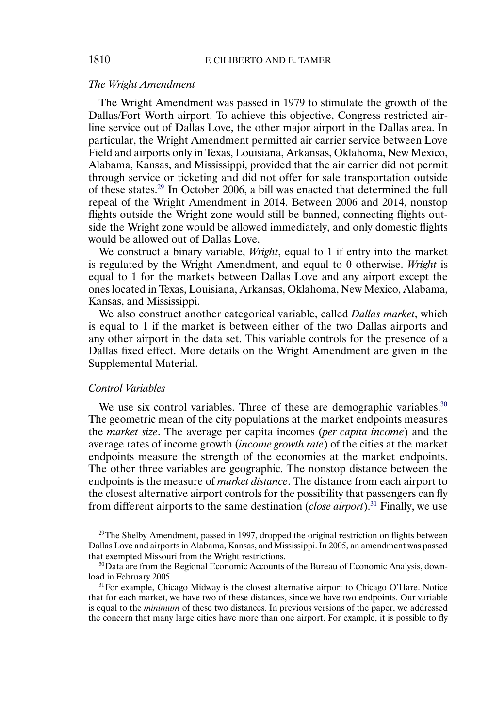# *The Wright Amendment*

The Wright Amendment was passed in 1979 to stimulate the growth of the Dallas/Fort Worth airport. To achieve this objective, Congress restricted airline service out of Dallas Love, the other major airport in the Dallas area. In particular, the Wright Amendment permitted air carrier service between Love Field and airports only in Texas, Louisiana, Arkansas, Oklahoma, New Mexico, Alabama, Kansas, and Mississippi, provided that the air carrier did not permit through service or ticketing and did not offer for sale transportation outside of these states.<sup>29</sup> In October 2006, a bill was enacted that determined the full repeal of the Wright Amendment in 2014. Between 2006 and 2014, nonstop flights outside the Wright zone would still be banned, connecting flights outside the Wright zone would be allowed immediately, and only domestic flights would be allowed out of Dallas Love.

We construct a binary variable, *Wright*, equal to 1 if entry into the market is regulated by the Wright Amendment, and equal to 0 otherwise. *Wright* is equal to 1 for the markets between Dallas Love and any airport except the ones located in Texas, Louisiana, Arkansas, Oklahoma, New Mexico, Alabama, Kansas, and Mississippi.

We also construct another categorical variable, called *Dallas market*, which is equal to 1 if the market is between either of the two Dallas airports and any other airport in the data set. This variable controls for the presence of a Dallas fixed effect. More details on the Wright Amendment are given in the Supplemental Material.

# *Control Variables*

We use six control variables. Three of these are demographic variables. $30$ The geometric mean of the city populations at the market endpoints measures the *market size*. The average per capita incomes (*per capita income*) and the average rates of income growth (*income growth rate*) of the cities at the market endpoints measure the strength of the economies at the market endpoints. The other three variables are geographic. The nonstop distance between the endpoints is the measure of *market distance*. The distance from each airport to the closest alternative airport controls for the possibility that passengers can fly from different airports to the same destination (*close airport*).<sup>31</sup> Finally, we use

 $29$ The Shelby Amendment, passed in 1997, dropped the original restriction on flights between Dallas Love and airports in Alabama, Kansas, and Mississippi. In 2005, an amendment was passed that exempted Missouri from the Wright restrictions.

30Data are from the Regional Economic Accounts of the Bureau of Economic Analysis, download in February 2005.

 $31$  For example, Chicago Midway is the closest alternative airport to Chicago O'Hare. Notice that for each market, we have two of these distances, since we have two endpoints. Our variable is equal to the *minimum* of these two distances. In previous versions of the paper, we addressed the concern that many large cities have more than one airport. For example, it is possible to fly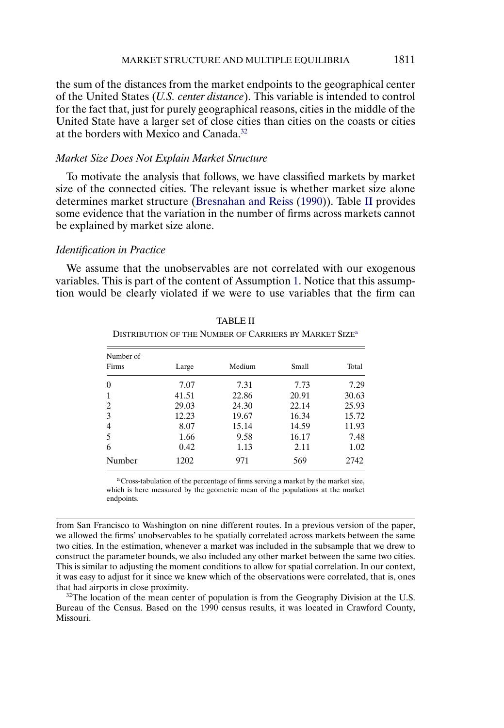the sum of the distances from the market endpoints to the geographical center of the United States (*U.S. center distance*). This variable is intended to control for the fact that, just for purely geographical reasons, cities in the middle of the United State have a larger set of close cities than cities on the coasts or cities at the borders with Mexico and Canada.<sup>32</sup>

#### *Market Size Does Not Explain Market Structure*

To motivate the analysis that follows, we have classified markets by market size of the connected cities. The relevant issue is whether market size alone determines market structure (Bresnahan and Reiss (1990)). Table II provides some evidence that the variation in the number of firms across markets cannot be explained by market size alone.

# *Identification in Practice*

We assume that the unobservables are not correlated with our exogenous variables. This is part of the content of Assumption 1. Notice that this assumption would be clearly violated if we were to use variables that the firm can

| Number of<br>Firms | Large | Medium | Small | Total |
|--------------------|-------|--------|-------|-------|
| $\Omega$           | 7.07  | 7.31   | 7.73  | 7.29  |
|                    | 41.51 | 22.86  | 20.91 | 30.63 |
| 2                  | 29.03 | 24.30  | 22.14 | 25.93 |
| 3                  | 12.23 | 19.67  | 16.34 | 15.72 |
| 4                  | 8.07  | 15.14  | 14.59 | 11.93 |
| 5                  | 1.66  | 9.58   | 16.17 | 7.48  |
| 6                  | 0.42  | 1.13   | 2.11  | 1.02  |
| Number             | 1202  | 971    | 569   | 2742  |

TABLE II DISTRIBUTION OF THE NUMBER OF CARRIERS BY MARKET SIZE<sup>a</sup>

aCross-tabulation of the percentage of firms serving a market by the market size, which is here measured by the geometric mean of the populations at the market endpoints.

from San Francisco to Washington on nine different routes. In a previous version of the paper, we allowed the firms' unobservables to be spatially correlated across markets between the same two cities. In the estimation, whenever a market was included in the subsample that we drew to construct the parameter bounds, we also included any other market between the same two cities. This is similar to adjusting the moment conditions to allow for spatial correlation. In our context, it was easy to adjust for it since we knew which of the observations were correlated, that is, ones that had airports in close proximity.

 $32$ The location of the mean center of population is from the Geography Division at the U.S. Bureau of the Census. Based on the 1990 census results, it was located in Crawford County, Missouri.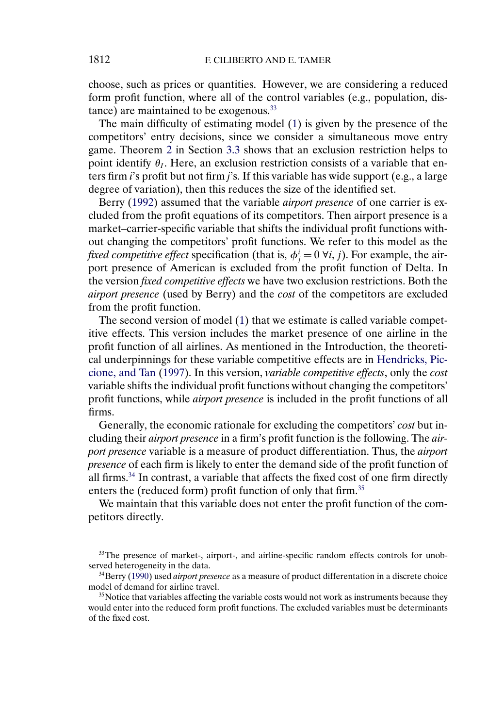choose, such as prices or quantities. However, we are considering a reduced form profit function, where all of the control variables (e.g., population, distance) are maintained to be exogenous.<sup>33</sup>

The main difficulty of estimating model (1) is given by the presence of the competitors' entry decisions, since we consider a simultaneous move entry game. Theorem 2 in Section 3.3 shows that an exclusion restriction helps to point identify  $\theta_I$ . Here, an exclusion restriction consists of a variable that enters firm *i*'s profit but not firm *j*'s. If this variable has wide support (e.g., a large degree of variation), then this reduces the size of the identified set.

Berry (1992) assumed that the variable *airport presence* of one carrier is excluded from the profit equations of its competitors. Then airport presence is a market–carrier-specific variable that shifts the individual profit functions without changing the competitors' profit functions. We refer to this model as the *fixed competitive effect* specification (that is,  $\phi_j^i = 0 \,\forall i, j$ ). For example, the airport presence of American is excluded from the profit function of Delta. In the version *fixed competitive effects* we have two exclusion restrictions. Both the *airport presence* (used by Berry) and the *cost* of the competitors are excluded from the profit function.

The second version of model (1) that we estimate is called variable competitive effects. This version includes the market presence of one airline in the profit function of all airlines. As mentioned in the Introduction, the theoretical underpinnings for these variable competitive effects are in Hendricks, Piccione, and Tan (1997). In this version, *variable competitive effects*, only the *cost* variable shifts the individual profit functions without changing the competitors' profit functions, while *airport presence* is included in the profit functions of all firms.

Generally, the economic rationale for excluding the competitors' *cost* but including their *airport presence* in a firm's profit function is the following. The *airport presence* variable is a measure of product differentiation. Thus, the *airport presence* of each firm is likely to enter the demand side of the profit function of all firms.<sup>34</sup> In contrast, a variable that affects the fixed cost of one firm directly enters the (reduced form) profit function of only that firm.<sup>35</sup>

We maintain that this variable does not enter the profit function of the competitors directly.

<sup>&</sup>lt;sup>33</sup>The presence of market-, airport-, and airline-specific random effects controls for unobserved heterogeneity in the data.

<sup>34</sup>Berry (1990) used *airport presence* as a measure of product differentation in a discrete choice model of demand for airline travel.

<sup>&</sup>lt;sup>35</sup>Notice that variables affecting the variable costs would not work as instruments because they would enter into the reduced form profit functions. The excluded variables must be determinants of the fixed cost.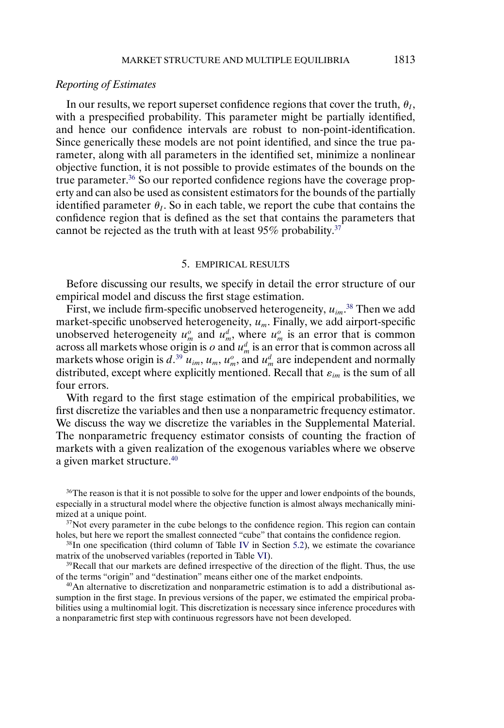## *Reporting of Estimates*

In our results, we report superset confidence regions that cover the truth,  $\theta_I$ , with a prespecified probability. This parameter might be partially identified, and hence our confidence intervals are robust to non-point-identification. Since generically these models are not point identified, and since the true parameter, along with all parameters in the identified set, minimize a nonlinear objective function, it is not possible to provide estimates of the bounds on the true parameter.<sup>36</sup> So our reported confidence regions have the coverage property and can also be used as consistent estimators for the bounds of the partially identified parameter  $\theta_I$ . So in each table, we report the cube that contains the confidence region that is defined as the set that contains the parameters that cannot be rejected as the truth with at least  $95\%$  probability.<sup>37</sup>

#### 5. EMPIRICAL RESULTS

Before discussing our results, we specify in detail the error structure of our empirical model and discuss the first stage estimation.

First, we include firm-specific unobserved heterogeneity,  $u_{im}^{38}$  Then we add market-specific unobserved heterogeneity,  $u_m$ . Finally, we add airport-specific unobserved heterogeneity  $u_m^o$  and  $u_m^d$ , where  $u_m^o$  is an error that is common across all markets whose origin is  $o$  and  $u_m^d$  is an error that is common across all markets whose origin is  $d^{39} u_{im}$ ,  $u_m$ ,  $u_m^o$ , and  $u_m^d$  are independent and normally distributed, except where explicitly mentioned. Recall that  $\varepsilon_{im}$  is the sum of all four errors.

With regard to the first stage estimation of the empirical probabilities, we first discretize the variables and then use a nonparametric frequency estimator. We discuss the way we discretize the variables in the Supplemental Material. The nonparametric frequency estimator consists of counting the fraction of markets with a given realization of the exogenous variables where we observe a given market structure.<sup>40</sup>

<sup>36</sup>The reason is that it is not possible to solve for the upper and lower endpoints of the bounds, especially in a structural model where the objective function is almost always mechanically minimized at a unique point.

<sup>37</sup>Not every parameter in the cube belongs to the confidence region. This region can contain holes, but here we report the smallest connected "cube" that contains the confidence region.

<sup>38</sup>In one specification (third column of Table IV in Section 5.2), we estimate the covariance matrix of the unobserved variables (reported in Table VI).

<sup>39</sup>Recall that our markets are defined irrespective of the direction of the flight. Thus, the use of the terms "origin" and "destination" means either one of the market endpoints.

<sup>40</sup>An alternative to discretization and nonparametric estimation is to add a distributional assumption in the first stage. In previous versions of the paper, we estimated the empirical probabilities using a multinomial logit. This discretization is necessary since inference procedures with a nonparametric first step with continuous regressors have not been developed.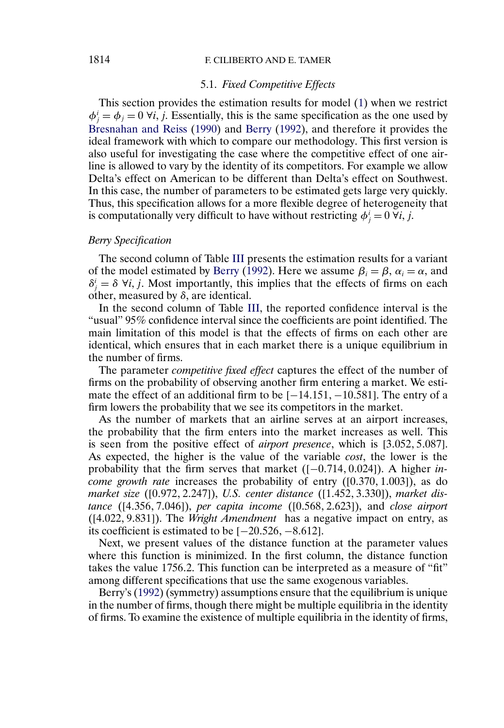# 1814 **F. CILIBERTO AND E. TAMER**

#### 5.1. *Fixed Competitive Effects*

This section provides the estimation results for model (1) when we restrict  $\phi_j^i = \phi_j = 0$   $\forall i, j$ . Essentially, this is the same specification as the one used by Bresnahan and Reiss (1990) and Berry (1992), and therefore it provides the ideal framework with which to compare our methodology. This first version is also useful for investigating the case where the competitive effect of one airline is allowed to vary by the identity of its competitors. For example we allow Delta's effect on American to be different than Delta's effect on Southwest. In this case, the number of parameters to be estimated gets large very quickly. Thus, this specification allows for a more flexible degree of heterogeneity that is computationally very difficult to have without restricting  $\phi_j^i = 0 \forall i, j$ .

#### *Berry Specification*

The second column of Table III presents the estimation results for a variant of the model estimated by Berry (1992). Here we assume  $\beta_i = \beta$ ,  $\alpha_i = \alpha$ , and  $\delta^i_j = \delta \ \forall i, j$ . Most importantly, this implies that the effects of firms on each other, measured by  $\delta$ , are identical.

In the second column of Table III, the reported confidence interval is the "usual" 95% confidence interval since the coefficients are point identified. The main limitation of this model is that the effects of firms on each other are identical, which ensures that in each market there is a unique equilibrium in the number of firms.

The parameter *competitive fixed effect* captures the effect of the number of firms on the probability of observing another firm entering a market. We estimate the effect of an additional firm to be  $[-14.151, -10.581]$ . The entry of a firm lowers the probability that we see its competitors in the market.

As the number of markets that an airline serves at an airport increases, the probability that the firm enters into the market increases as well. This is seen from the positive effect of *airport presence*, which is [3.052, 5.087]. As expected, the higher is the value of the variable *cost*, the lower is the probability that the firm serves that market  $([-0.714, 0.024])$ . A higher *income growth rate* increases the probability of entry ([0.370, 1.003]), as do *market size* ([0.972, 2.247]), *U.S. center distance* ([1.452, 3.330]), *market distance* ([4.356, 7.046]), *per capita income* ([0.568, 2.623]), and *close airport* ([4022 9831]). The *Wright Amendment* has a negative impact on entry, as its coefficient is estimated to be  $[-20.526, -8.612]$ .

Next, we present values of the distance function at the parameter values where this function is minimized. In the first column, the distance function takes the value 17562. This function can be interpreted as a measure of "fit" among different specifications that use the same exogenous variables.

Berry's (1992) (symmetry) assumptions ensure that the equilibrium is unique in the number of firms, though there might be multiple equilibria in the identity of firms. To examine the existence of multiple equilibria in the identity of firms,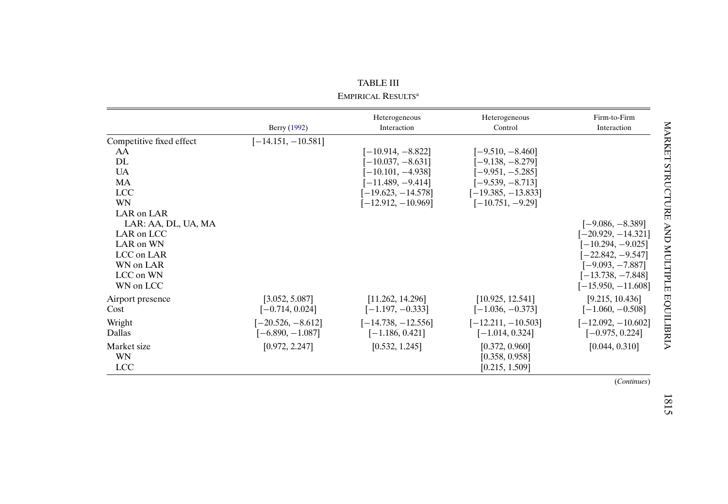| <b>TABLE III</b>                     |
|--------------------------------------|
| <b>EMPIRICAL RESULTS<sup>a</sup></b> |

Heterogeneous Heterogeneous Firm-to-Firm MARKET STRUCTURE AND MULTIPLE EQUILIBRIA Berry (1992) Interaction Control Interaction Competitive fixed effect [−14.151, −10.581] AA [−10.914, −8.822] [−9.510, −8.460]<br>DL [−10.037, −8.631] [−9.138, −8.279] DL [−10.037, −8.631] [−9.138, −8.279] UA [−10.101, −4.938] [−9.951, −5.285] MA [−11.489, −9.414] [−9.539, −8.713] LCC [−19.623, −14.578] [−19.385, −13.833]<br>WN [−12.912, −10.969] [−10.751, −9.29]  $[-12.912, -10.969]$ LAR on LAR LAR: AA, DL, UA, MA [−9.086, −8.389]<br>LAR on LCC [−20.929, −14.321] LAR on LCC [−20.929, −14.321] LAR on WN  $\left[-10.294, -9.025\right]$ LCC on LAR  $[-22.842, -9.547]$ WN on LAR  $[-9.093, -7.887]$  $LCC$  on WN  $[-13.738, -7.848]$ WN on LCC  $[-15.950, -11.608]$ Airport presence [3.052, 5.087] [11.262, 14.296] [11.262, 14.296] [10.925, 12.541] [9.215, 10.436] Cost [-0.714, 0.024] [-1.197, -0.333] [-1.036, -0.373] [-1.060, -0.508 Cost [−0.714, 0.024] [−1.197, −0.333] [−1.036, −0.373] [−1.060, −0.508] Wright [−20.526, −8.612] [−14.738, −12.556] [−12.211, −10.503] [−12.092, −10.602] Dallas [−6.890, −1.087] [−1.186, 0.421] [−1.014, 0.324] [−0.975, 0.224] Market size [0.972, 2.247] [0.532, 1.245] [0.372, 0.960] [0.044, 0.310] WN [0.358, 0.958] LCC  $[0.215, 1.509]$ 

MARKET STRUCTURE AND MULTIPLE EQUILIBRIA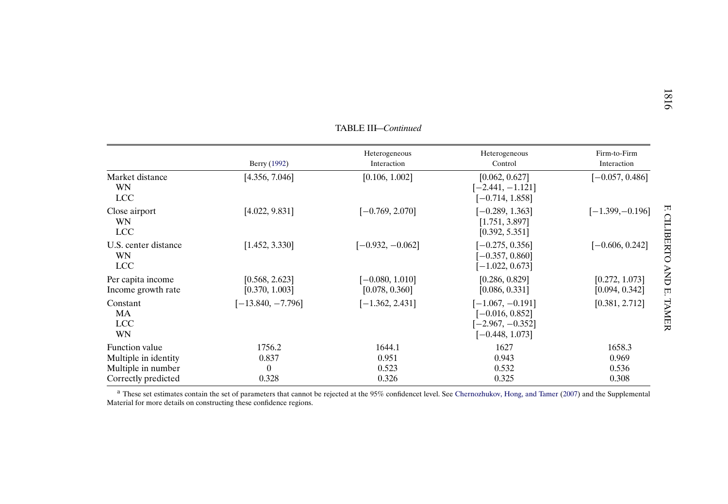|                                                                                     | Berry (1992)                     | Heterogeneous<br>Interaction        | Heterogeneous<br>Control                                                           | Firm-to-Firm<br>Interaction       |
|-------------------------------------------------------------------------------------|----------------------------------|-------------------------------------|------------------------------------------------------------------------------------|-----------------------------------|
| Market distance<br><b>WN</b><br><b>LCC</b>                                          | [4.356, 7.046]                   | [0.106, 1.002]                      | [0.062, 0.627]<br>$[-2.441, -1.121]$<br>$[-0.714, 1.858]$                          | $[-0.057, 0.486]$                 |
| Close airport<br><b>WN</b><br><b>LCC</b>                                            | [4.022, 9.831]                   | $[-0.769, 2.070]$                   | $[-0.289, 1.363]$<br>[1.751, 3.897]<br>[0.392, 5.351]                              | $[-1.399, -0.196]$                |
| U.S. center distance<br>WN<br><b>LCC</b>                                            | [1.452, 3.330]                   | $[-0.932, -0.062]$                  | $-0.275, 0.356$<br>$-0.357, 0.860$<br>$-1.022, 0.673$                              | $[-0.606, 0.242]$                 |
| Per capita income<br>Income growth rate                                             | [0.568, 2.623]<br>[0.370, 1.003] | $[-0.080, 1.010]$<br>[0.078, 0.360] | [0.286, 0.829]<br>[0.086, 0.331]                                                   | [0.272, 1.073]<br>[0.094, 0.342]  |
| Constant<br>MA<br><b>LCC</b><br>WN                                                  | $[-13.840, -7.796]$              | $[-1.362, 2.431]$                   | $[-1.067, -0.191]$<br>$[-0.016, 0.852]$<br>$[-2.967, -0.352]$<br>$[-0.448, 1.073]$ | [0.381, 2.712]                    |
| Function value<br>Multiple in identity<br>Multiple in number<br>Correctly predicted | 1756.2<br>0.837<br>0<br>0.328    | 1644.1<br>0.951<br>0.523<br>0.326   | 1627<br>0.943<br>0.532<br>0.325                                                    | 1658.3<br>0.969<br>0.536<br>0.308 |

TABLE III—*Continued*

<sup>a</sup> These set estimates contain the set of parameters that cannot be rejected at the 95% confidencet level. See Chernozhukov, Hong, and Tamer (2007) and the Supplemental Material for more details on constructing these confidence regions.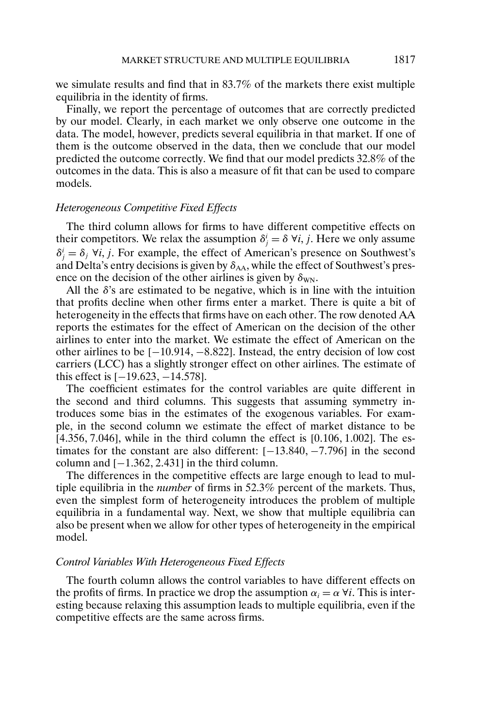we simulate results and find that in 83.7% of the markets there exist multiple equilibria in the identity of firms.

Finally, we report the percentage of outcomes that are correctly predicted by our model. Clearly, in each market we only observe one outcome in the data. The model, however, predicts several equilibria in that market. If one of them is the outcome observed in the data, then we conclude that our model predicted the outcome correctly. We find that our model predicts 32.8% of the outcomes in the data. This is also a measure of fit that can be used to compare models.

# *Heterogeneous Competitive Fixed Effects*

The third column allows for firms to have different competitive effects on their competitors. We relax the assumption  $\delta_j^i = \delta \forall i, j$ . Here we only assume  $\delta_j^i = \delta_j$   $\forall i, j$ . For example, the effect of American's presence on Southwest's and Delta's entry decisions is given by  $\delta_{AA}$ , while the effect of Southwest's presence on the decision of the other airlines is given by  $\delta_{\text{WN}}$ .

All the  $\delta$ 's are estimated to be negative, which is in line with the intuition that profits decline when other firms enter a market. There is quite a bit of heterogeneity in the effects that firms have on each other. The row denoted AA reports the estimates for the effect of American on the decision of the other airlines to enter into the market. We estimate the effect of American on the other airlines to be  $[-10.914, -8.822]$ . Instead, the entry decision of low cost carriers (LCC) has a slightly stronger effect on other airlines. The estimate of this effect is  $[-19.623, -14.578]$ .

The coefficient estimates for the control variables are quite different in the second and third columns. This suggests that assuming symmetry introduces some bias in the estimates of the exogenous variables. For example, in the second column we estimate the effect of market distance to be [4.356, 7.046], while in the third column the effect is  $[0.106, 1.002]$ . The estimates for the constant are also different:  $[-13.840, -7.796]$  in the second column and  $[-1.362, 2.431]$  in the third column.

The differences in the competitive effects are large enough to lead to multiple equilibria in the *number* of firms in 52.3% percent of the markets. Thus, even the simplest form of heterogeneity introduces the problem of multiple equilibria in a fundamental way. Next, we show that multiple equilibria can also be present when we allow for other types of heterogeneity in the empirical model.

# *Control Variables With Heterogeneous Fixed Effects*

The fourth column allows the control variables to have different effects on the profits of firms. In practice we drop the assumption  $\alpha_i = \alpha \ \forall i$ . This is interesting because relaxing this assumption leads to multiple equilibria, even if the competitive effects are the same across firms.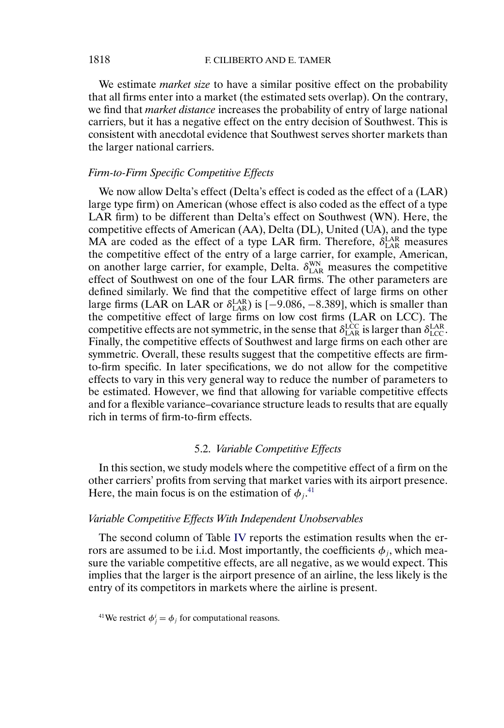We estimate *market size* to have a similar positive effect on the probability that all firms enter into a market (the estimated sets overlap). On the contrary, we find that *market distance* increases the probability of entry of large national carriers, but it has a negative effect on the entry decision of Southwest. This is consistent with anecdotal evidence that Southwest serves shorter markets than the larger national carriers.

# *Firm-to-Firm Specific Competitive Effects*

We now allow Delta's effect (Delta's effect is coded as the effect of a (LAR) large type firm) on American (whose effect is also coded as the effect of a type LAR firm) to be different than Delta's effect on Southwest (WN). Here, the competitive effects of American (AA), Delta (DL), United (UA), and the type MA are coded as the effect of a type LAR firm. Therefore,  $\delta_{\rm{LAR}}^{\rm{LAR}}$  measures the competitive effect of the entry of a large carrier, for example, American, on another large carrier, for example, Delta.  $\delta_{\rm{LAR}}^{\rm{WN}}$  measures the competitive effect of Southwest on one of the four LAR firms. The other parameters are defined similarly. We find that the competitive effect of large firms on other large firms (LAR on LAR or  $\delta_{\text{LAR}}^{\text{LAR}}$ ) is [-9.086, -8.389], which is smaller than the competitive effect of large firms on low cost firms (LAR on LCC). The competitive effects are not symmetric, in the sense that  $\delta_{\rm LAR}^{\rm LCC}$  is larger than  $\delta_{\rm LCC}^{\rm LAR}$ . Finally, the competitive effects of Southwest and large firms on each other are symmetric. Overall, these results suggest that the competitive effects are firmto-firm specific. In later specifications, we do not allow for the competitive effects to vary in this very general way to reduce the number of parameters to be estimated. However, we find that allowing for variable competitive effects and for a flexible variance–covariance structure leads to results that are equally rich in terms of firm-to-firm effects.

# 5.2. *Variable Competitive Effects*

In this section, we study models where the competitive effect of a firm on the other carriers' profits from serving that market varies with its airport presence. Here, the main focus is on the estimation of  $\phi_j$ .<sup>41</sup>

#### *Variable Competitive Effects With Independent Unobservables*

The second column of Table IV reports the estimation results when the errors are assumed to be i.i.d. Most importantly, the coefficients  $\phi_j$ , which measure the variable competitive effects, are all negative, as we would expect. This implies that the larger is the airport presence of an airline, the less likely is the entry of its competitors in markets where the airline is present.

<sup>41</sup>We restrict  $\phi_j^i = \phi_j$  for computational reasons.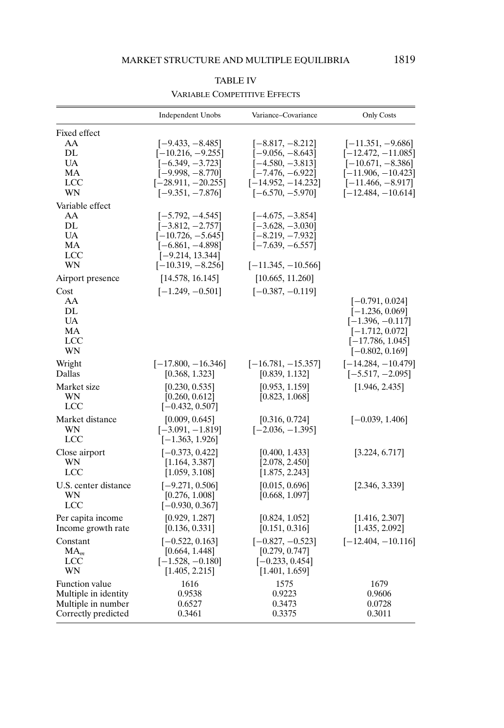|                                                                                     | <b>Independent Unobs</b>                                                                                                           | Variance-Covariance                                                                                          | <b>Only Costs</b>                                                                                                            |
|-------------------------------------------------------------------------------------|------------------------------------------------------------------------------------------------------------------------------------|--------------------------------------------------------------------------------------------------------------|------------------------------------------------------------------------------------------------------------------------------|
| Fixed effect<br>AA<br>DL<br>UA<br>MA<br>LCC                                         | $[-9.433, -8.485]$<br>$[-10.216, -9.255]$<br>$[-6.349, -3.723]$<br>$[-9.998, -8.770]$<br>$[-28.911, -20.255]$                      | $[-8.817, -8.212]$<br>$[-9.056, -8.643]$<br>$[-4.580, -3.813]$<br>$[-7.476, -6.922]$<br>$[-14.952, -14.232]$ | $[-11.351, -9.686]$<br>$[-12.472, -11.085]$<br>$[-10.671, -8.386]$<br>$[-11.906, -10.423]$<br>$[-11.466, -8.917]$            |
| WN                                                                                  | $[-9.351, -7.876]$                                                                                                                 | $[-6.570, -5.970]$                                                                                           | $[-12.484, -10.614]$                                                                                                         |
| Variable effect<br>AA<br>DL<br>UA<br>MA<br>LCC<br>WN                                | $[-5.792, -4.545]$<br>$[-3.812, -2.757]$<br>$[-10.726, -5.645]$<br>$[-6.861, -4.898]$<br>$[-9.214, 13.344]$<br>$[-10.319, -8.256]$ | $[-4.675, -3.854]$<br>$[-3.628, -3.030]$<br>$[-8.219, -7.932]$<br>$[-7.639, -6.557]$<br>$[-11.345, -10.566]$ |                                                                                                                              |
| Airport presence                                                                    | [14.578, 16.145]                                                                                                                   | [10.665, 11.260]                                                                                             |                                                                                                                              |
| Cost<br>AA<br>DL<br><b>UA</b><br>MA<br>LCC<br>WN                                    | $[-1.249, -0.501]$                                                                                                                 | $[-0.387, -0.119]$                                                                                           | $[-0.791, 0.024]$<br>$[-1.236, 0.069]$<br>$[-1.396, -0.117]$<br>$[-1.712, 0.072]$<br>$[-17.786, 1.045]$<br>$[-0.802, 0.169]$ |
| Wright<br>Dallas                                                                    | $[-17.800, -16.346]$<br>[0.368, 1.323]                                                                                             | $[-16.781, -15.357]$<br>[0.839, 1.132]                                                                       | $[-14.284, -10.479]$<br>$[-5.517, -2.095]$                                                                                   |
| Market size<br>WN<br><b>LCC</b>                                                     | [0.230, 0.535]<br>[0.260, 0.612]<br>$[-0.432, 0.507]$                                                                              | [0.953, 1.159]<br>[0.823, 1.068]                                                                             | [1.946, 2.435]                                                                                                               |
| Market distance<br>WN<br><b>LCC</b>                                                 | [0.009, 0.645]<br>$[-3.091, -1.819]$<br>$[-1.363, 1.926]$                                                                          | [0.316, 0.724]<br>$[-2.036, -1.395]$                                                                         | $[-0.039, 1.406]$                                                                                                            |
| Close airport<br>WN<br><b>LCC</b>                                                   | $[-0.373, 0.422]$<br>[1.164, 3.387]<br>[1.059, 3.108]                                                                              | [0.400, 1.433]<br>[2.078, 2.450]<br>[1.875, 2.243]                                                           | [3.224, 6.717]                                                                                                               |
| U.S. center distance<br>WN<br><b>LCC</b>                                            | $[-9.271, 0.506]$<br>[0.276, 1.008]<br>$[-0.930, 0.367]$                                                                           | [0.015, 0.696]<br>[0.668, 1.097]                                                                             | [2.346, 3.339]                                                                                                               |
| Per capita income<br>Income growth rate                                             | [0.929, 1.287]<br>[0.136, 0.331]                                                                                                   | [0.824, 1.052]<br>[0.151, 0.316]                                                                             | [1.416, 2.307]<br>[1.435, 2.092]                                                                                             |
| Constant<br>$MA_m$<br>LCC<br>WN                                                     | $[-0.522, 0.163]$<br>[0.664, 1.448]<br>$[-1.528, -0.180]$<br>[1.405, 2.215]                                                        | $[-0.827, -0.523]$<br>[0.279, 0.747]<br>$[-0.233, 0.454]$<br>[1.401, 1.659]                                  | $[-12.404, -10.116]$                                                                                                         |
| Function value<br>Multiple in identity<br>Multiple in number<br>Correctly predicted | 1616<br>0.9538<br>0.6527<br>0.3461                                                                                                 | 1575<br>0.9223<br>0.3473<br>0.3375                                                                           | 1679<br>0.9606<br>0.0728<br>0.3011                                                                                           |

# TABLE IV VARIABLE COMPETITIVE EFFECTS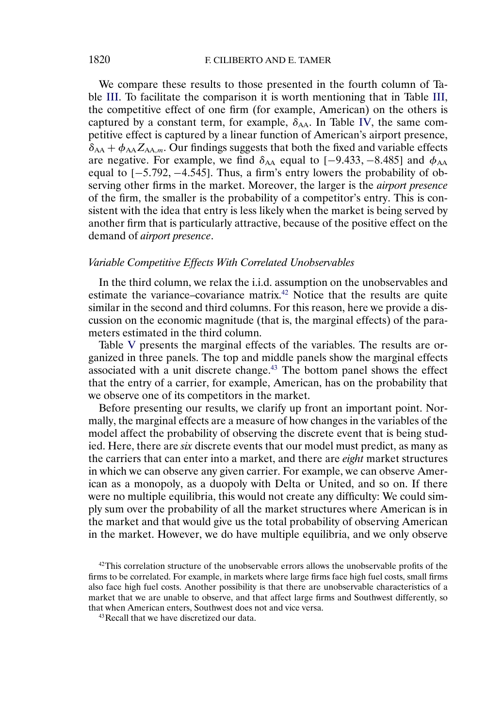We compare these results to those presented in the fourth column of Table III. To facilitate the comparison it is worth mentioning that in Table III, the competitive effect of one firm (for example, American) on the others is captured by a constant term, for example,  $\delta_{AA}$ . In Table IV, the same competitive effect is captured by a linear function of American's airport presence,  $\delta_{AA} + \phi_{AA} Z_{AA,m}$ . Our findings suggests that both the fixed and variable effects are negative. For example, we find  $\delta_{AA}$  equal to [−9.433, −8.485] and  $\phi_{AA}$ equal to [-5.792, -4.545]. Thus, a firm's entry lowers the probability of observing other firms in the market. Moreover, the larger is the *airport presence* of the firm, the smaller is the probability of a competitor's entry. This is consistent with the idea that entry is less likely when the market is being served by another firm that is particularly attractive, because of the positive effect on the demand of *airport presence*.

#### *Variable Competitive Effects With Correlated Unobservables*

In the third column, we relax the i.i.d. assumption on the unobservables and estimate the variance–covariance matrix.<sup>42</sup> Notice that the results are quite similar in the second and third columns. For this reason, here we provide a discussion on the economic magnitude (that is, the marginal effects) of the parameters estimated in the third column.

Table V presents the marginal effects of the variables. The results are organized in three panels. The top and middle panels show the marginal effects associated with a unit discrete change.<sup>43</sup> The bottom panel shows the effect that the entry of a carrier, for example, American, has on the probability that we observe one of its competitors in the market.

Before presenting our results, we clarify up front an important point. Normally, the marginal effects are a measure of how changes in the variables of the model affect the probability of observing the discrete event that is being studied. Here, there are *six* discrete events that our model must predict, as many as the carriers that can enter into a market, and there are *eight* market structures in which we can observe any given carrier. For example, we can observe American as a monopoly, as a duopoly with Delta or United, and so on. If there were no multiple equilibria, this would not create any difficulty: We could simply sum over the probability of all the market structures where American is in the market and that would give us the total probability of observing American in the market. However, we do have multiple equilibria, and we only observe

 $42$ This correlation structure of the unobservable errors allows the unobservable profits of the firms to be correlated. For example, in markets where large firms face high fuel costs, small firms also face high fuel costs. Another possibility is that there are unobservable characteristics of a market that we are unable to observe, and that affect large firms and Southwest differently, so that when American enters, Southwest does not and vice versa.

<sup>43</sup>Recall that we have discretized our data.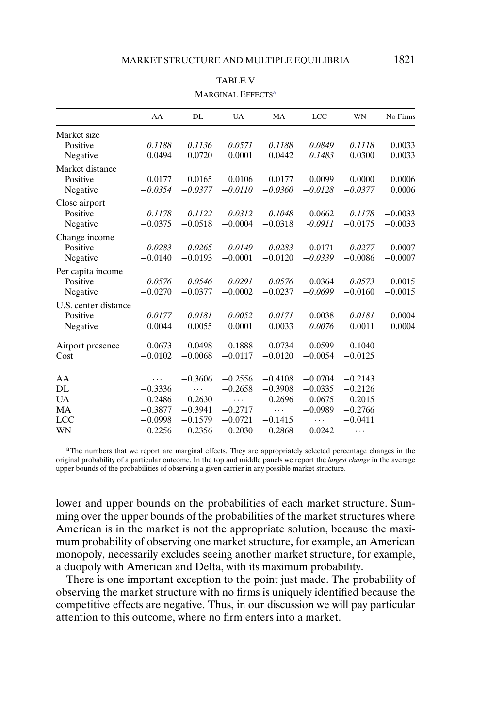|                          | AA        | DL        | <b>UA</b> | MA        | LCC       | WN        | No Firms  |
|--------------------------|-----------|-----------|-----------|-----------|-----------|-----------|-----------|
| Market size              |           |           |           |           |           |           |           |
| Positive                 | 0.1188    | 0.1136    | 0.0571    | 0.1188    | 0.0849    | 0.1118    | $-0.0033$ |
| Negative                 | $-0.0494$ | $-0.0720$ | $-0.0001$ | $-0.0442$ | $-0.1483$ | $-0.0300$ | $-0.0033$ |
| Market distance          |           |           |           |           |           |           |           |
| Positive                 | 0.0177    | 0.0165    | 0.0106    | 0.0177    | 0.0099    | 0.0000    | 0.0006    |
| Negative                 | $-0.0354$ | $-0.0377$ | $-0.0110$ | $-0.0360$ | $-0.0128$ | $-0.0377$ | 0.0006    |
| Close airport            |           |           |           |           |           |           |           |
| Positive                 | 0.1178    | 0.1122    | 0.0312    | 0.1048    | 0.0662    | 0.1178    | $-0.0033$ |
| Negative                 | $-0.0375$ | $-0.0518$ | $-0.0004$ | $-0.0318$ | $-0.0911$ | $-0.0175$ | $-0.0033$ |
| Change income            |           |           |           |           |           |           |           |
| Positive                 | 0.0283    | 0.0265    | 0.0149    | 0.0283    | 0.0171    | 0.0277    | $-0.0007$ |
| Negative                 | $-0.0140$ | $-0.0193$ | $-0.0001$ | $-0.0120$ | $-0.0339$ | $-0.0086$ | $-0.0007$ |
| Per capita income        |           |           |           |           |           |           |           |
| Positive                 | 0.0576    | 0.0546    | 0.0291    | 0.0576    | 0.0364    | 0.0573    | $-0.0015$ |
| Negative                 | $-0.0270$ | $-0.0377$ | $-0.0002$ | $-0.0237$ | $-0.0699$ | $-0.0160$ | $-0.0015$ |
| U.S. center distance     |           |           |           |           |           |           |           |
| Positive                 | 0.0177    | 0.0181    | 0.0052    | 0.0171    | 0.0038    | 0.0181    | $-0.0004$ |
| Negative                 | $-0.0044$ | $-0.0055$ | $-0.0001$ | $-0.0033$ | $-0.0076$ | $-0.0011$ | $-0.0004$ |
|                          | 0.0673    | 0.0498    | 0.1888    | 0.0734    | 0.0599    | 0.1040    |           |
| Airport presence<br>Cost | $-0.0102$ | $-0.0068$ | $-0.0117$ | $-0.0120$ | $-0.0054$ | $-0.0125$ |           |
|                          |           |           |           |           |           |           |           |
| AA                       | .         | $-0.3606$ | $-0.2556$ | $-0.4108$ | $-0.0704$ | $-0.2143$ |           |
| DL                       | $-0.3336$ | .         | $-0.2658$ | $-0.3908$ | $-0.0335$ | $-0.2126$ |           |
| <b>UA</b>                | $-0.2486$ | $-0.2630$ | .         | $-0.2696$ | $-0.0675$ | $-0.2015$ |           |
| MA                       | $-0.3877$ | $-0.3941$ | $-0.2717$ | .         | $-0.0989$ | $-0.2766$ |           |
| <b>LCC</b>               | $-0.0998$ | $-0.1579$ | $-0.0721$ | $-0.1415$ | .         | $-0.0411$ |           |
| WN                       | $-0.2256$ | $-0.2356$ | $-0.2030$ | $-0.2868$ | $-0.0242$ | .         |           |
|                          |           |           |           |           |           |           |           |

TABLE V MARGINAL EFFECTS<sup>a</sup>

<sup>a</sup>The numbers that we report are marginal effects. They are appropriately selected percentage changes in the original probability of a particular outcome. In the top and middle panels we report the *largest change* in the average upper bounds of the probabilities of observing a given carrier in any possible market structure.

lower and upper bounds on the probabilities of each market structure. Summing over the upper bounds of the probabilities of the market structures where American is in the market is not the appropriate solution, because the maximum probability of observing one market structure, for example, an American monopoly, necessarily excludes seeing another market structure, for example, a duopoly with American and Delta, with its maximum probability.

There is one important exception to the point just made. The probability of observing the market structure with no firms is uniquely identified because the competitive effects are negative. Thus, in our discussion we will pay particular attention to this outcome, where no firm enters into a market.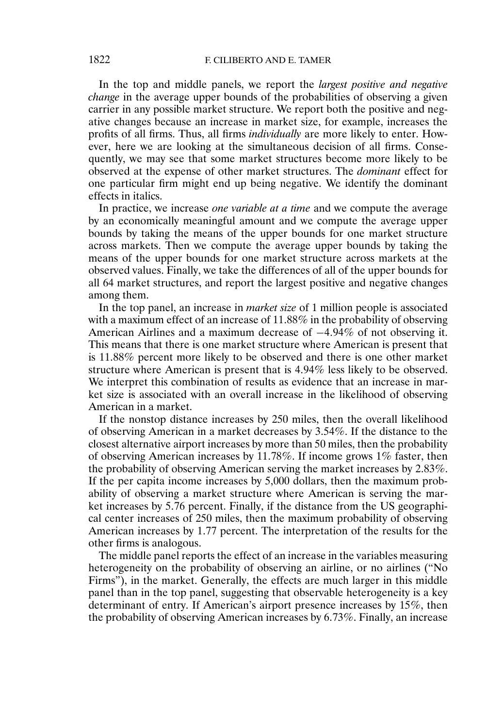In the top and middle panels, we report the *largest positive and negative change* in the average upper bounds of the probabilities of observing a given carrier in any possible market structure. We report both the positive and negative changes because an increase in market size, for example, increases the profits of all firms. Thus, all firms *individually* are more likely to enter. However, here we are looking at the simultaneous decision of all firms. Consequently, we may see that some market structures become more likely to be observed at the expense of other market structures. The *dominant* effect for one particular firm might end up being negative. We identify the dominant effects in italics.

In practice, we increase *one variable at a time* and we compute the average by an economically meaningful amount and we compute the average upper bounds by taking the means of the upper bounds for one market structure across markets. Then we compute the average upper bounds by taking the means of the upper bounds for one market structure across markets at the observed values. Finally, we take the differences of all of the upper bounds for all 64 market structures, and report the largest positive and negative changes among them.

In the top panel, an increase in *market size* of 1 million people is associated with a maximum effect of an increase of 11.88% in the probability of observing American Airlines and a maximum decrease of  $-4.94\%$  of not observing it. This means that there is one market structure where American is present that is 1188% percent more likely to be observed and there is one other market structure where American is present that is 4.94% less likely to be observed. We interpret this combination of results as evidence that an increase in market size is associated with an overall increase in the likelihood of observing American in a market.

If the nonstop distance increases by 250 miles, then the overall likelihood of observing American in a market decreases by 354%. If the distance to the closest alternative airport increases by more than 50 miles, then the probability of observing American increases by 1178%. If income grows 1% faster, then the probability of observing American serving the market increases by 2.83%. If the per capita income increases by 5,000 dollars, then the maximum probability of observing a market structure where American is serving the market increases by 576 percent. Finally, if the distance from the US geographical center increases of 250 miles, then the maximum probability of observing American increases by 1.77 percent. The interpretation of the results for the other firms is analogous.

The middle panel reports the effect of an increase in the variables measuring heterogeneity on the probability of observing an airline, or no airlines ("No Firms"), in the market. Generally, the effects are much larger in this middle panel than in the top panel, suggesting that observable heterogeneity is a key determinant of entry. If American's airport presence increases by 15%, then the probability of observing American increases by 673%. Finally, an increase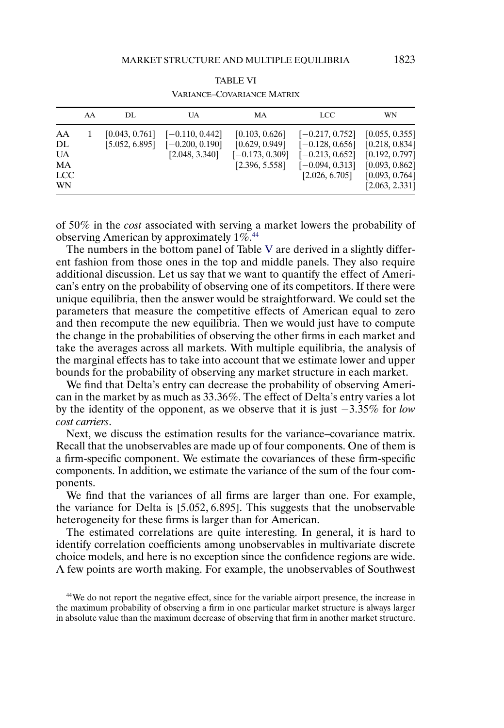| TABLE VI |  |
|----------|--|
|----------|--|

|                                          | AA | DL                               | UA                                                       | МA                                                                      | <b>LCC</b>                                                                                         | WN                                                                                                       |
|------------------------------------------|----|----------------------------------|----------------------------------------------------------|-------------------------------------------------------------------------|----------------------------------------------------------------------------------------------------|----------------------------------------------------------------------------------------------------------|
| AA<br>DL<br>UA<br>MA<br><b>LCC</b><br>WN |    | [0.043, 0.761]<br>[5.052, 6.895] | $[-0.110, 0.442]$<br>$[-0.200, 0.190]$<br>[2.048, 3.340] | [0.103, 0.626]<br>[0.629, 0.949]<br>$[-0.173, 0.309]$<br>[2.396, 5.558] | $[-0.217, 0.752]$<br>$[-0.128, 0.656]$<br>$[-0.213, 0.652]$<br>$[-0.094, 0.313]$<br>[2.026, 6.705] | [0.055, 0.355]<br>[0.218, 0.834]<br>[0.192, 0.797]<br>[0.093, 0.862]<br>[0.093, 0.764]<br>[2.063, 2.331] |

VARIANCE–COVARIANCE MATRIX

of 50% in the *cost* associated with serving a market lowers the probability of observing American by approximately  $1\%$ .<sup>44</sup>

The numbers in the bottom panel of Table V are derived in a slightly different fashion from those ones in the top and middle panels. They also require additional discussion. Let us say that we want to quantify the effect of American's entry on the probability of observing one of its competitors. If there were unique equilibria, then the answer would be straightforward. We could set the parameters that measure the competitive effects of American equal to zero and then recompute the new equilibria. Then we would just have to compute the change in the probabilities of observing the other firms in each market and take the averages across all markets. With multiple equilibria, the analysis of the marginal effects has to take into account that we estimate lower and upper bounds for the probability of observing any market structure in each market.

We find that Delta's entry can decrease the probability of observing American in the market by as much as 3336%. The effect of Delta's entry varies a lot by the identity of the opponent, as we observe that it is just −335% for *low cost carriers*.

Next, we discuss the estimation results for the variance–covariance matrix. Recall that the unobservables are made up of four components. One of them is a firm-specific component. We estimate the covariances of these firm-specific components. In addition, we estimate the variance of the sum of the four components.

We find that the variances of all firms are larger than one. For example, the variance for Delta is  $[5.052, 6.895]$ . This suggests that the unobservable heterogeneity for these firms is larger than for American.

The estimated correlations are quite interesting. In general, it is hard to identify correlation coefficients among unobservables in multivariate discrete choice models, and here is no exception since the confidence regions are wide. A few points are worth making. For example, the unobservables of Southwest

<sup>44</sup>We do not report the negative effect, since for the variable airport presence, the increase in the maximum probability of observing a firm in one particular market structure is always larger in absolute value than the maximum decrease of observing that firm in another market structure.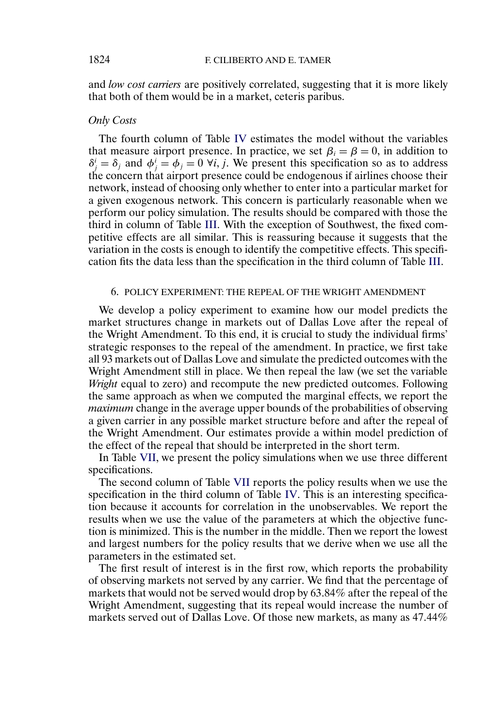and *low cost carriers* are positively correlated, suggesting that it is more likely that both of them would be in a market, ceteris paribus.

#### *Only Costs*

The fourth column of Table IV estimates the model without the variables that measure airport presence. In practice, we set  $\beta_i = \beta = 0$ , in addition to  $\delta^i_j = \delta_j$  and  $\phi^i_j = \phi_j = 0$   $\forall i, j$ . We present this specification so as to address the concern that airport presence could be endogenous if airlines choose their network, instead of choosing only whether to enter into a particular market for a given exogenous network. This concern is particularly reasonable when we perform our policy simulation. The results should be compared with those the third in column of Table III. With the exception of Southwest, the fixed competitive effects are all similar. This is reassuring because it suggests that the variation in the costs is enough to identify the competitive effects. This specification fits the data less than the specification in the third column of Table III.

## 6. POLICY EXPERIMENT: THE REPEAL OF THE WRIGHT AMENDMENT

We develop a policy experiment to examine how our model predicts the market structures change in markets out of Dallas Love after the repeal of the Wright Amendment. To this end, it is crucial to study the individual firms' strategic responses to the repeal of the amendment. In practice, we first take all 93 markets out of Dallas Love and simulate the predicted outcomes with the Wright Amendment still in place. We then repeal the law (we set the variable *Wright* equal to zero) and recompute the new predicted outcomes. Following the same approach as when we computed the marginal effects, we report the *maximum* change in the average upper bounds of the probabilities of observing a given carrier in any possible market structure before and after the repeal of the Wright Amendment. Our estimates provide a within model prediction of the effect of the repeal that should be interpreted in the short term.

In Table VII, we present the policy simulations when we use three different specifications.

The second column of Table VII reports the policy results when we use the specification in the third column of Table IV. This is an interesting specification because it accounts for correlation in the unobservables. We report the results when we use the value of the parameters at which the objective function is minimized. This is the number in the middle. Then we report the lowest and largest numbers for the policy results that we derive when we use all the parameters in the estimated set.

The first result of interest is in the first row, which reports the probability of observing markets not served by any carrier. We find that the percentage of markets that would not be served would drop by 63.84% after the repeal of the Wright Amendment, suggesting that its repeal would increase the number of markets served out of Dallas Love. Of those new markets, as many as 47.44%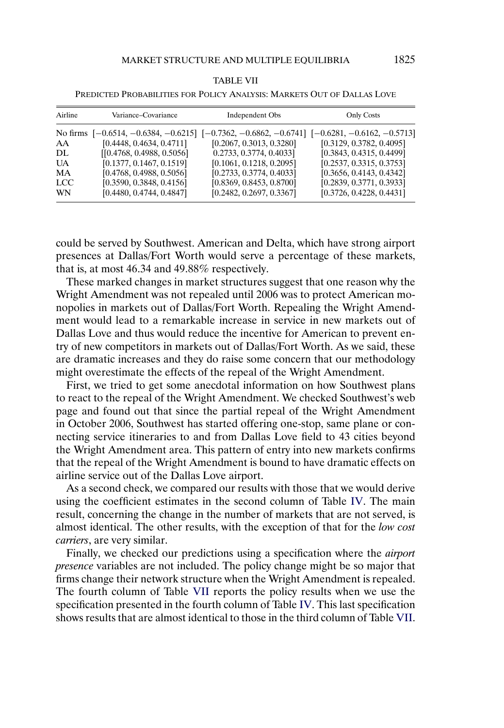#### TABLE VII

PREDICTED PROBABILITIES FOR POLICY ANALYSIS: MARKETS OUT OF DALLAS LOVE

| Airline    | Variance–Covariance                    | Independent Obs               | Only Costs                    |  |
|------------|----------------------------------------|-------------------------------|-------------------------------|--|
|            | No firms $[-0.6514, -0.6384, -0.6215]$ | $[-0.7362, -0.6862, -0.6741]$ | $[-0.6281, -0.6162, -0.5713]$ |  |
| AA         | [0.4448, 0.4634, 0.4711]               | [0.2067, 0.3013, 0.3280]      | [0.3129, 0.3782, 0.4095]      |  |
| DL.        | [[0.4768, 0.4988, 0.5056]              | 0.2733, 0.3774, 0.4033]       | [0.3843, 0.4315, 0.4499]      |  |
| UA         | [0.1377, 0.1467, 0.1519]               | [0.1061, 0.1218, 0.2095]      | [0.2537, 0.3315, 0.3753]      |  |
| MA         | [0.4768, 0.4988, 0.5056]               | [0.2733, 0.3774, 0.4033]      | [0.3656, 0.4143, 0.4342]      |  |
| <b>LCC</b> | [0.3590, 0.3848, 0.4156]               | [0.8369, 0.8453, 0.8700]      | [0.2839, 0.3771, 0.3933]      |  |
| WN         | [0.4480, 0.4744, 0.4847]               | [0.2482, 0.2697, 0.3367]      | [0.3726, 0.4228, 0.4431]      |  |

could be served by Southwest. American and Delta, which have strong airport presences at Dallas/Fort Worth would serve a percentage of these markets, that is, at most  $46.34$  and  $49.88\%$  respectively.

These marked changes in market structures suggest that one reason why the Wright Amendment was not repealed until 2006 was to protect American monopolies in markets out of Dallas/Fort Worth. Repealing the Wright Amendment would lead to a remarkable increase in service in new markets out of Dallas Love and thus would reduce the incentive for American to prevent entry of new competitors in markets out of Dallas/Fort Worth. As we said, these are dramatic increases and they do raise some concern that our methodology might overestimate the effects of the repeal of the Wright Amendment.

First, we tried to get some anecdotal information on how Southwest plans to react to the repeal of the Wright Amendment. We checked Southwest's web page and found out that since the partial repeal of the Wright Amendment in October 2006, Southwest has started offering one-stop, same plane or connecting service itineraries to and from Dallas Love field to 43 cities beyond the Wright Amendment area. This pattern of entry into new markets confirms that the repeal of the Wright Amendment is bound to have dramatic effects on airline service out of the Dallas Love airport.

As a second check, we compared our results with those that we would derive using the coefficient estimates in the second column of Table IV. The main result, concerning the change in the number of markets that are not served, is almost identical. The other results, with the exception of that for the *low cost carriers*, are very similar.

Finally, we checked our predictions using a specification where the *airport presence* variables are not included. The policy change might be so major that firms change their network structure when the Wright Amendment is repealed. The fourth column of Table VII reports the policy results when we use the specification presented in the fourth column of Table IV. This last specification shows results that are almost identical to those in the third column of Table VII.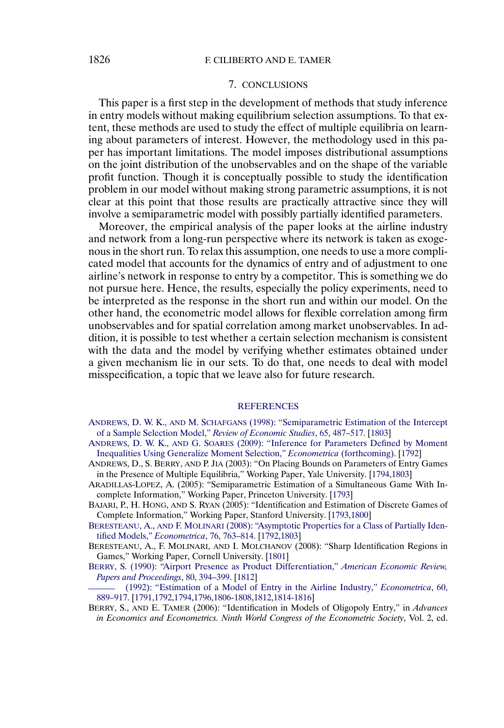# 1826 F. CILIBERTO AND E. TAMER

# 7. CONCLUSIONS

This paper is a first step in the development of methods that study inference in entry models without making equilibrium selection assumptions. To that extent, these methods are used to study the effect of multiple equilibria on learning about parameters of interest. However, the methodology used in this paper has important limitations. The model imposes distributional assumptions on the joint distribution of the unobservables and on the shape of the variable profit function. Though it is conceptually possible to study the identification problem in our model without making strong parametric assumptions, it is not clear at this point that those results are practically attractive since they will involve a semiparametric model with possibly partially identified parameters.

Moreover, the empirical analysis of the paper looks at the airline industry and network from a long-run perspective where its network is taken as exogenous in the short run. To relax this assumption, one needs to use a more complicated model that accounts for the dynamics of entry and of adjustment to one airline's network in response to entry by a competitor. This is something we do not pursue here. Hence, the results, especially the policy experiments, need to be interpreted as the response in the short run and within our model. On the other hand, the econometric model allows for flexible correlation among firm unobservables and for spatial correlation among market unobservables. In addition, it is possible to test whether a certain selection mechanism is consistent with the data and the model by verifying whether estimates obtained under a given mechanism lie in our sets. To do that, one needs to deal with model misspecification, a topic that we leave also for future research.

#### **REFERENCES**

- ANDREWS, D. W. K., AND M. SCHAFGANS (1998): "Semiparametric Estimation of the Intercept of a Sample Selection Model," *Review of Economic Studies*, 65, 487–517. [1803]
- ANDREWS, D. W. K., AND G. SOARES (2009): "Inference for Parameters Defined by Moment Inequalities Using Generalize Moment Selection," *Econometrica* (forthcoming). [1792]
- ANDREWS, D., S. BERRY, AND P. JIA (2003): "On Placing Bounds on Parameters of Entry Games in the Presence of Multiple Equilibria," Working Paper, Yale University. [1794,1803]
- ARADILLAS-LOPEZ, A. (2005): "Semiparametric Estimation of a Simultaneous Game With Incomplete Information," Working Paper, Princeton University. [1793]
- BAJARI, P., H. HONG, AND S. RYAN (2005): "Identification and Estimation of Discrete Games of Complete Information," Working Paper, Stanford University. [1793,1800]
- BERESTEANU, A., AND F. MOLINARI (2008): "Asymptotic Properties for a Class of Partially Identified Models," *Econometrica*, 76, 763–814. [1792,1803]
- BERESTEANU, A., F. MOLINARI, AND I. MOLCHANOV (2008): "Sharp Identification Regions in Games," Working Paper, Cornell University. [1801]
- BERRY, S. (1990): "Airport Presence as Product Differentiation," *American Economic Review, Papers and Proceedings*, 80, 394–399. [1812]

(1992): "Estimation of a Model of Entry in the Airline Industry," *Econometrica*, 60, 889–917. [1791,1792,1794,1796,1806-1808,1812,1814-1816]

BERRY, S., AND E. TAMER (2006): "Identification in Models of Oligopoly Entry," in *Advances in Economics and Econometrics. Ninth World Congress of the Econometric Society*, Vol. 2, ed.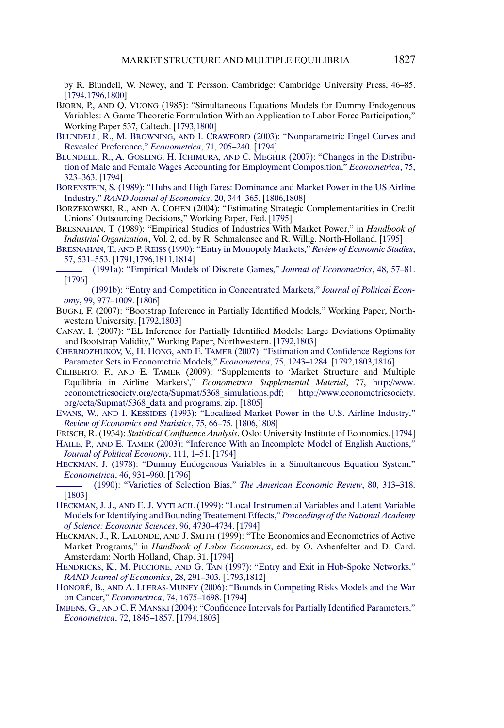by R. Blundell, W. Newey, and T. Persson. Cambridge: Cambridge University Press, 46–85. [1794,1796,1800]

- BJORN, P., AND Q. VUONG (1985): "Simultaneous Equations Models for Dummy Endogenous Variables: A Game Theoretic Formulation With an Application to Labor Force Participation," Working Paper 537, Caltech. [1793,1800]
- BLUNDELL, R., M. BROWNING, AND I. CRAWFORD (2003): "Nonparametric Engel Curves and Revealed Preference," *Econometrica*, 71, 205–240. [1794]
- BLUNDELL, R., A. GOSLING, H. ICHIMURA, AND C. MEGHIR (2007): "Changes in the Distribution of Male and Female Wages Accounting for Employment Composition," *Econometrica*, 75, 323–363. [1794]
- BORENSTEIN, S. (1989): "Hubs and High Fares: Dominance and Market Power in the US Airline Industry," *RAND Journal of Economics*, 20, 344–365. [1806,1808]
- BORZEKOWSKI, R., AND A. COHEN (2004): "Estimating Strategic Complementarities in Credit Unions' Outsourcing Decisions," Working Paper, Fed. [1795]
- BRESNAHAN, T. (1989): "Empirical Studies of Industries With Market Power," in *Handbook of Industrial Organization*, Vol. 2, ed. by R. Schmalensee and R. Willig. North-Holland. [1795]
- BRESNAHAN, T., AND P. REISS (1990): "Entry in Monopoly Markets," *Review of Economic Studies*, 57, 531–553. [1791,1796,1811,1814]
- (1991a): "Empirical Models of Discrete Games," *Journal of Econometrics*, 48, 57–81. [1796]
- (1991b): "Entry and Competition in Concentrated Markets," *Journal of Political Economy*, 99, 977–1009. [1806]
- BUGNI, F. (2007): "Bootstrap Inference in Partially Identified Models," Working Paper, Northwestern University. [1792,1803]
- CANAY, I. (2007): "EL Inference for Partially Identified Models: Large Deviations Optimality and Bootstrap Validity," Working Paper, Northwestern. [1792,1803]
- CHERNOZHUKOV, V., H. HONG, AND E. TAMER (2007): "Estimation and Confidence Regions for Parameter Sets in Econometric Models," *Econometrica*, 75, 1243–1284. [1792,1803,1816]
- CILIBERTO, F., AND E. TAMER (2009): "Supplements to 'Market Structure and Multiple Equilibria in Airline Markets'," *Econometrica Supplemental Material*, 77, http://www. econometricsociety.org/ecta/Supmat/5368\_simulations.pdf; http://www.econometricsociety. org/ecta/Supmat/5368\_data and programs. zip. [1805]
- EVANS, W., AND I. KESSIDES (1993): "Localized Market Power in the U.S. Airline Industry," *Review of Economics and Statistics*, 75, 66–75. [1806,1808]
- FRISCH, R. (1934): *Statistical Confluence Analysis*. Oslo: University Institute of Economics. [1794]
- HAILE, P., AND E. TAMER (2003): "Inference With an Incomplete Model of English Auctions," *Journal of Political Economy*, 111, 1–51. [1794]
- HECKMAN, J. (1978): "Dummy Endogenous Variables in a Simultaneous Equation System," *Econometrica*, 46, 931–960. [1796]
- (1990): "Varieties of Selection Bias," *The American Economic Review*, 80, 313–318. [1803]
- HECKMAN, J. J., AND E. J. VYTLACIL (1999): "Local Instrumental Variables and Latent Variable Models for Identifying and Bounding Treatement Effects," *Proceedings of the National Academy of Science: Economic Sciences*, 96, 4730–4734. [1794]
- HECKMAN, J., R. LALONDE, AND J. SMITH (1999): "The Economics and Econometrics of Active Market Programs," in *Handbook of Labor Economics*, ed. by O. Ashenfelter and D. Card. Amsterdam: North Holland, Chap. 31. [1794]
- HENDRICKS, K., M. PICCIONE, AND G. TAN (1997): "Entry and Exit in Hub-Spoke Networks," *RAND Journal of Economics*, 28, 291–303. [1793,1812]
- HONORÉ, B., AND A. LLERAS-MUNEY (2006): "Bounds in Competing Risks Models and the War on Cancer," *Econometrica*, 74, 1675–1698. [1794]
- IMBENS, G., AND C. F. MANSKI (2004): "Confidence Intervals for Partially Identified Parameters," *Econometrica*, 72, 1845–1857. [1794,1803]